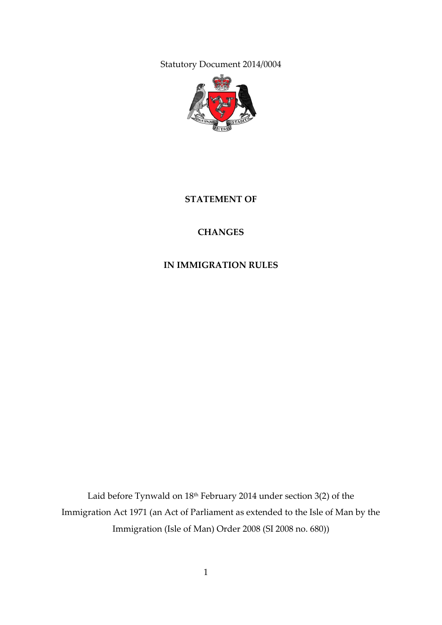Statutory Document 2014/0004



#### **STATEMENT OF**

## **CHANGES**

## **IN IMMIGRATION RULES**

Laid before Tynwald on 18<sup>th</sup> February 2014 under section 3(2) of the Immigration Act 1971 (an Act of Parliament as extended to the Isle of Man by the Immigration (Isle of Man) Order 2008 (SI 2008 no. 680))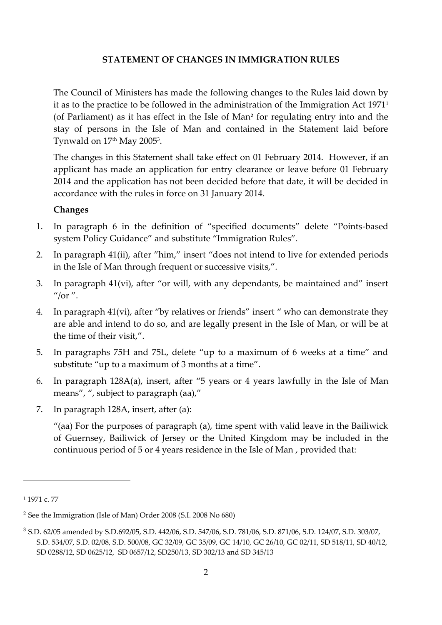#### **STATEMENT OF CHANGES IN IMMIGRATION RULES**

The Council of Ministers has made the following changes to the Rules laid down by it as to the practice to be followed in the administration of the Immigration Act 1971<sup>1</sup> (of Parliament) as it has effect in the Isle of Man**<sup>2</sup>** for regulating entry into and the stay of persons in the Isle of Man and contained in the Statement laid before Tynwald on 17th May 2005<sup>3</sup>.

The changes in this Statement shall take effect on 01 February 2014. However, if an applicant has made an application for entry clearance or leave before 01 February 2014 and the application has not been decided before that date, it will be decided in accordance with the rules in force on 31 January 2014.

#### **Changes**

- 1. In paragraph 6 in the definition of "specified documents" delete "Points-based system Policy Guidance" and substitute "Immigration Rules".
- 2. In paragraph 41(ii), after "him," insert "does not intend to live for extended periods in the Isle of Man through frequent or successive visits,".
- 3. In paragraph 41(vi), after "or will, with any dependants, be maintained and" insert  $^{\prime\prime}$ /or  $^{\prime\prime}$ .
- 4. In paragraph 41(vi), after "by relatives or friends" insert " who can demonstrate they are able and intend to do so, and are legally present in the Isle of Man, or will be at the time of their visit,".
- 5. In paragraphs 75H and 75L, delete "up to a maximum of 6 weeks at a time" and substitute "up to a maximum of 3 months at a time".
- 6. In paragraph 128A(a), insert, after "5 years or 4 years lawfully in the Isle of Man means", ", subject to paragraph (aa),"
- 7. In paragraph 128A, insert, after (a):

"(aa) For the purposes of paragraph (a), time spent with valid leave in the Bailiwick of Guernsey, Bailiwick of Jersey or the United Kingdom may be included in the continuous period of 5 or 4 years residence in the Isle of Man , provided that:

 $\overline{a}$ 

<sup>&</sup>lt;sup>1</sup> 1971 c. 77

<sup>2</sup> See the Immigration (Isle of Man) Order 2008 (S.I. 2008 No 680)

<sup>3</sup> S.D. 62/05 amended by S.D.692/05, S.D. 442/06, S.D. 547/06, S.D. 781/06, S.D. 871/06, S.D. 124/07, S.D. 303/07, S.D. 534/07, S.D. 02/08, S.D. 500/08, GC 32/09, GC 35/09, GC 14/10, GC 26/10, GC 02/11, SD 518/11, SD 40/12, SD 0288/12, SD 0625/12, SD 0657/12, SD250/13, SD 302/13 and SD 345/13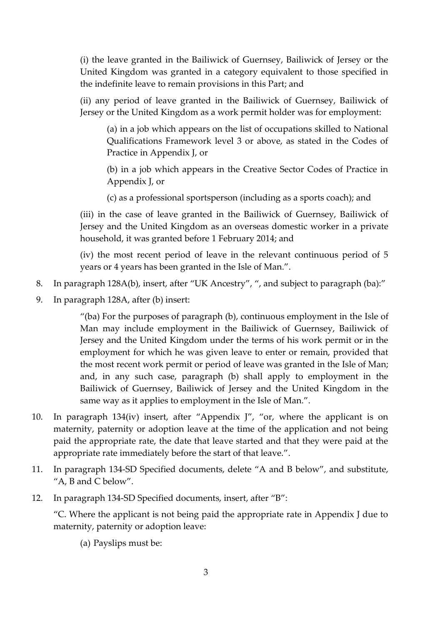(i) the leave granted in the Bailiwick of Guernsey, Bailiwick of Jersey or the United Kingdom was granted in a category equivalent to those specified in the indefinite leave to remain provisions in this Part; and

(ii) any period of leave granted in the Bailiwick of Guernsey, Bailiwick of Jersey or the United Kingdom as a work permit holder was for employment:

(a) in a job which appears on the list of occupations skilled to National Qualifications Framework level 3 or above, as stated in the Codes of Practice in Appendix J, or

(b) in a job which appears in the Creative Sector Codes of Practice in Appendix J, or

(c) as a professional sportsperson (including as a sports coach); and

(iii) in the case of leave granted in the Bailiwick of Guernsey, Bailiwick of Jersey and the United Kingdom as an overseas domestic worker in a private household, it was granted before 1 February 2014; and

(iv) the most recent period of leave in the relevant continuous period of 5 years or 4 years has been granted in the Isle of Man.".

- 8. In paragraph 128A(b), insert, after "UK Ancestry", ", and subject to paragraph (ba):"
- 9. In paragraph 128A, after (b) insert:

"(ba) For the purposes of paragraph (b), continuous employment in the Isle of Man may include employment in the Bailiwick of Guernsey, Bailiwick of Jersey and the United Kingdom under the terms of his work permit or in the employment for which he was given leave to enter or remain, provided that the most recent work permit or period of leave was granted in the Isle of Man; and, in any such case, paragraph (b) shall apply to employment in the Bailiwick of Guernsey, Bailiwick of Jersey and the United Kingdom in the same way as it applies to employment in the Isle of Man.".

- 10. In paragraph 134(iv) insert, after "Appendix J", "or, where the applicant is on maternity, paternity or adoption leave at the time of the application and not being paid the appropriate rate, the date that leave started and that they were paid at the appropriate rate immediately before the start of that leave.".
- 11. In paragraph 134-SD Specified documents, delete "A and B below", and substitute, "A, B and C below".
- 12. In paragraph 134-SD Specified documents, insert, after "B":

"C. Where the applicant is not being paid the appropriate rate in Appendix J due to maternity, paternity or adoption leave:

(a) Payslips must be: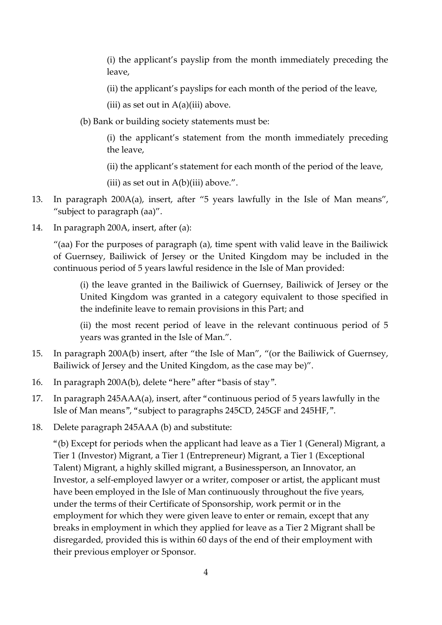(i) the applicant's payslip from the month immediately preceding the leave,

(ii) the applicant's payslips for each month of the period of the leave,

(iii) as set out in  $A(a)$ (iii) above.

(b) Bank or building society statements must be:

(i) the applicant's statement from the month immediately preceding the leave,

- (ii) the applicant's statement for each month of the period of the leave,
- (iii) as set out in  $A(b)$ (iii) above.".
- 13. In paragraph 200A(a), insert, after "5 years lawfully in the Isle of Man means", "subject to paragraph (aa)".
- 14. In paragraph 200A, insert, after (a):

"(aa) For the purposes of paragraph (a), time spent with valid leave in the Bailiwick of Guernsey, Bailiwick of Jersey or the United Kingdom may be included in the continuous period of 5 years lawful residence in the Isle of Man provided:

(i) the leave granted in the Bailiwick of Guernsey, Bailiwick of Jersey or the United Kingdom was granted in a category equivalent to those specified in the indefinite leave to remain provisions in this Part; and

(ii) the most recent period of leave in the relevant continuous period of 5 years was granted in the Isle of Man.".

- 15. In paragraph 200A(b) insert, after "the Isle of Man", "(or the Bailiwick of Guernsey, Bailiwick of Jersey and the United Kingdom, as the case may be)".
- 16. In paragraph 200A(b), delete "here" after "basis of stay".
- 17. In paragraph 245AAA(a), insert, after "continuous period of 5 years lawfully in the Isle of Man means", "subject to paragraphs 245CD, 245GF and 245HF,".
- 18. Delete paragraph 245AAA (b) and substitute:

"(b) Except for periods when the applicant had leave as a Tier 1 (General) Migrant, a Tier 1 (Investor) Migrant, a Tier 1 (Entrepreneur) Migrant, a Tier 1 (Exceptional Talent) Migrant, a highly skilled migrant, a Businessperson, an Innovator, an Investor, a self-employed lawyer or a writer, composer or artist, the applicant must have been employed in the Isle of Man continuously throughout the five years, under the terms of their Certificate of Sponsorship, work permit or in the employment for which they were given leave to enter or remain, except that any breaks in employment in which they applied for leave as a Tier 2 Migrant shall be disregarded, provided this is within 60 days of the end of their employment with their previous employer or Sponsor.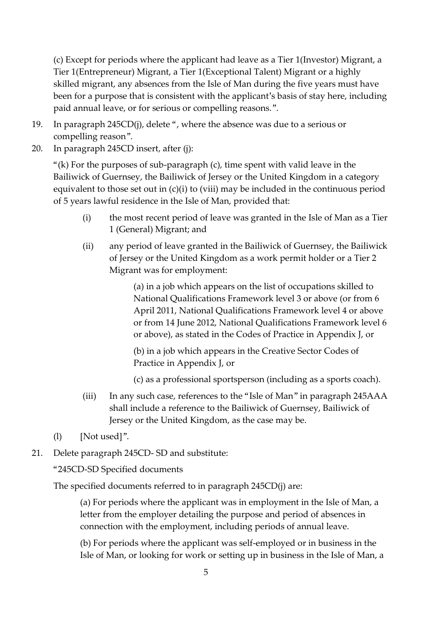(c) Except for periods where the applicant had leave as a Tier 1(Investor) Migrant, a Tier 1(Entrepreneur) Migrant, a Tier 1(Exceptional Talent) Migrant or a highly skilled migrant, any absences from the Isle of Man during the five years must have been for a purpose that is consistent with the applicant's basis of stay here, including paid annual leave, or for serious or compelling reasons.".

- 19. In paragraph 245CD(j), delete ", where the absence was due to a serious or compelling reason".
- 20. In paragraph 245CD insert, after (j):

"(k) For the purposes of sub-paragraph  $(c)$ , time spent with valid leave in the Bailiwick of Guernsey, the Bailiwick of Jersey or the United Kingdom in a category equivalent to those set out in (c)(i) to (viii) may be included in the continuous period of 5 years lawful residence in the Isle of Man, provided that:

- (i) the most recent period of leave was granted in the Isle of Man as a Tier 1 (General) Migrant; and
- (ii) any period of leave granted in the Bailiwick of Guernsey, the Bailiwick of Jersey or the United Kingdom as a work permit holder or a Tier 2 Migrant was for employment:

(a) in a job which appears on the list of occupations skilled to National Qualifications Framework level 3 or above (or from 6 April 2011, National Qualifications Framework level 4 or above or from 14 June 2012, National Qualifications Framework level 6 or above), as stated in the Codes of Practice in Appendix J, or

(b) in a job which appears in the Creative Sector Codes of Practice in Appendix J, or

- (c) as a professional sportsperson (including as a sports coach).
- (iii) In any such case, references to the "Isle of Man" in paragraph 245AAA shall include a reference to the Bailiwick of Guernsey, Bailiwick of Jersey or the United Kingdom, as the case may be.
- (l) [Not used]".
- 21. Delete paragraph 245CD- SD and substitute:

"245CD-SD Specified documents

The specified documents referred to in paragraph 245CD(j) are:

(a) For periods where the applicant was in employment in the Isle of Man, a letter from the employer detailing the purpose and period of absences in connection with the employment, including periods of annual leave.

(b) For periods where the applicant was self-employed or in business in the Isle of Man, or looking for work or setting up in business in the Isle of Man, a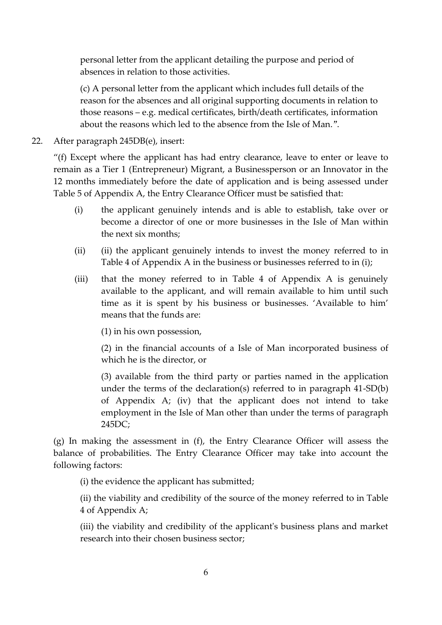personal letter from the applicant detailing the purpose and period of absences in relation to those activities.

(c) A personal letter from the applicant which includes full details of the reason for the absences and all original supporting documents in relation to those reasons – e.g. medical certificates, birth/death certificates, information about the reasons which led to the absence from the Isle of Man.".

22. After paragraph 245DB(e), insert:

"(f) Except where the applicant has had entry clearance, leave to enter or leave to remain as a Tier 1 (Entrepreneur) Migrant, a Businessperson or an Innovator in the 12 months immediately before the date of application and is being assessed under Table 5 of Appendix A, the Entry Clearance Officer must be satisfied that:

- (i) the applicant genuinely intends and is able to establish, take over or become a director of one or more businesses in the Isle of Man within the next six months;
- (ii) (ii) the applicant genuinely intends to invest the money referred to in Table 4 of Appendix A in the business or businesses referred to in (i);
- (iii) that the money referred to in Table 4 of Appendix A is genuinely available to the applicant, and will remain available to him until such time as it is spent by his business or businesses. 'Available to him' means that the funds are:

(1) in his own possession,

(2) in the financial accounts of a Isle of Man incorporated business of which he is the director, or

(3) available from the third party or parties named in the application under the terms of the declaration(s) referred to in paragraph 41-SD(b) of Appendix A; (iv) that the applicant does not intend to take employment in the Isle of Man other than under the terms of paragraph 245DC;

(g) In making the assessment in (f), the Entry Clearance Officer will assess the balance of probabilities. The Entry Clearance Officer may take into account the following factors:

(i) the evidence the applicant has submitted;

(ii) the viability and credibility of the source of the money referred to in Table 4 of Appendix A;

(iii) the viability and credibility of the applicant's business plans and market research into their chosen business sector;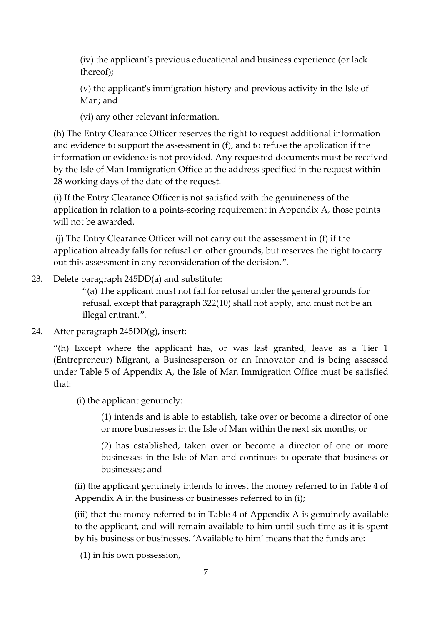(iv) the applicant's previous educational and business experience (or lack thereof);

(v) the applicant's immigration history and previous activity in the Isle of Man; and

(vi) any other relevant information.

(h) The Entry Clearance Officer reserves the right to request additional information and evidence to support the assessment in (f), and to refuse the application if the information or evidence is not provided. Any requested documents must be received by the Isle of Man Immigration Office at the address specified in the request within 28 working days of the date of the request.

(i) If the Entry Clearance Officer is not satisfied with the genuineness of the application in relation to a points-scoring requirement in Appendix A, those points will not be awarded.

(j) The Entry Clearance Officer will not carry out the assessment in (f) if the application already falls for refusal on other grounds, but reserves the right to carry out this assessment in any reconsideration of the decision.".

23. Delete paragraph 245DD(a) and substitute:

"(a) The applicant must not fall for refusal under the general grounds for refusal, except that paragraph 322(10) shall not apply, and must not be an illegal entrant.".

24. After paragraph 245DD(g), insert:

"(h) Except where the applicant has, or was last granted, leave as a Tier 1 (Entrepreneur) Migrant, a Businessperson or an Innovator and is being assessed under Table 5 of Appendix A, the Isle of Man Immigration Office must be satisfied that:

(i) the applicant genuinely:

(1) intends and is able to establish, take over or become a director of one or more businesses in the Isle of Man within the next six months, or

(2) has established, taken over or become a director of one or more businesses in the Isle of Man and continues to operate that business or businesses; and

(ii) the applicant genuinely intends to invest the money referred to in Table 4 of Appendix A in the business or businesses referred to in (i);

(iii) that the money referred to in Table 4 of Appendix A is genuinely available to the applicant, and will remain available to him until such time as it is spent by his business or businesses. 'Available to him' means that the funds are:

(1) in his own possession,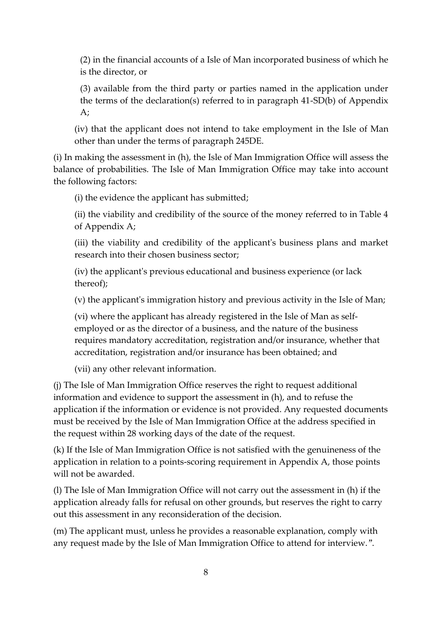(2) in the financial accounts of a Isle of Man incorporated business of which he is the director, or

(3) available from the third party or parties named in the application under the terms of the declaration(s) referred to in paragraph 41-SD(b) of Appendix A;

(iv) that the applicant does not intend to take employment in the Isle of Man other than under the terms of paragraph 245DE.

(i) In making the assessment in (h), the Isle of Man Immigration Office will assess the balance of probabilities. The Isle of Man Immigration Office may take into account the following factors:

(i) the evidence the applicant has submitted;

(ii) the viability and credibility of the source of the money referred to in Table 4 of Appendix A;

(iii) the viability and credibility of the applicant's business plans and market research into their chosen business sector;

(iv) the applicant's previous educational and business experience (or lack thereof);

(v) the applicant's immigration history and previous activity in the Isle of Man;

(vi) where the applicant has already registered in the Isle of Man as selfemployed or as the director of a business, and the nature of the business requires mandatory accreditation, registration and/or insurance, whether that accreditation, registration and/or insurance has been obtained; and

(vii) any other relevant information.

(j) The Isle of Man Immigration Office reserves the right to request additional information and evidence to support the assessment in (h), and to refuse the application if the information or evidence is not provided. Any requested documents must be received by the Isle of Man Immigration Office at the address specified in the request within 28 working days of the date of the request.

(k) If the Isle of Man Immigration Office is not satisfied with the genuineness of the application in relation to a points-scoring requirement in Appendix A, those points will not be awarded.

(l) The Isle of Man Immigration Office will not carry out the assessment in (h) if the application already falls for refusal on other grounds, but reserves the right to carry out this assessment in any reconsideration of the decision.

(m) The applicant must, unless he provides a reasonable explanation, comply with any request made by the Isle of Man Immigration Office to attend for interview.".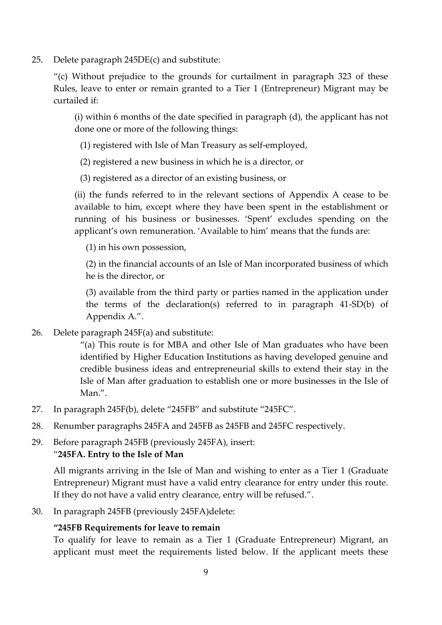25. Delete paragraph 245DE(c) and substitute:

"(c) Without prejudice to the grounds for curtailment in paragraph 323 of these Rules, leave to enter or remain granted to a Tier 1 (Entrepreneur) Migrant may be curtailed if:

(i) within 6 months of the date specified in paragraph (d), the applicant has not done one or more of the following things:

(1) registered with Isle of Man Treasury as self-employed,

(2) registered a new business in which he is a director, or

(3) registered as a director of an existing business, or

(ii) the funds referred to in the relevant sections of Appendix A cease to be available to him, except where they have been spent in the establishment or running of his business or businesses. 'Spent' excludes spending on the applicant's own remuneration. 'Available to him' means that the funds are:

(1) in his own possession,

(2) in the financial accounts of an Isle of Man incorporated business of which he is the director, or

(3) available from the third party or parties named in the application under the terms of the declaration(s) referred to in paragraph 41-SD(b) of Appendix A.".

26. Delete paragraph 245F(a) and substitute:

"(a) This route is for MBA and other Isle of Man graduates who have been identified by Higher Education Institutions as having developed genuine and credible business ideas and entrepreneurial skills to extend their stay in the Isle of Man after graduation to establish one or more businesses in the Isle of Man.".

- 27. In paragraph 245F(b), delete "245FB" and substitute "245FC".
- 28. Renumber paragraphs 245FA and 245FB as 245FB and 245FC respectively.
- 29. Before paragraph 245FB (previously 245FA), insert:

#### "**245FA. Entry to the Isle of Man**

All migrants arriving in the Isle of Man and wishing to enter as a Tier 1 (Graduate Entrepreneur) Migrant must have a valid entry clearance for entry under this route. If they do not have a valid entry clearance, entry will be refused.".

30. In paragraph 245FB (previously 245FA)delete:

#### **"245FB Requirements for leave to remain**

To qualify for leave to remain as a Tier 1 (Graduate Entrepreneur) Migrant, an applicant must meet the requirements listed below. If the applicant meets these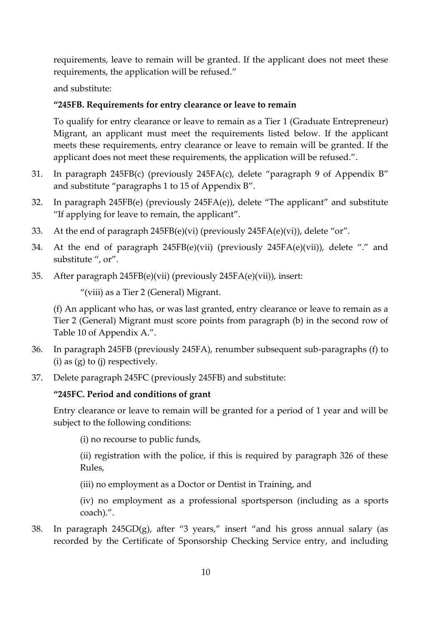requirements, leave to remain will be granted. If the applicant does not meet these requirements, the application will be refused."

and substitute:

## **"245FB. Requirements for entry clearance or leave to remain**

To qualify for entry clearance or leave to remain as a Tier 1 (Graduate Entrepreneur) Migrant, an applicant must meet the requirements listed below. If the applicant meets these requirements, entry clearance or leave to remain will be granted. If the applicant does not meet these requirements, the application will be refused.".

- 31. In paragraph 245FB(c) (previously 245FA(c), delete "paragraph 9 of Appendix B" and substitute "paragraphs 1 to 15 of Appendix B".
- 32. In paragraph 245FB(e) (previously 245FA(e)), delete "The applicant" and substitute "If applying for leave to remain, the applicant".
- 33. At the end of paragraph 245FB(e)(vi) (previously 245FA(e)(vi)), delete "or".
- 34. At the end of paragraph 245FB(e)(vii) (previously 245FA(e)(vii)), delete "." and substitute ", or".
- 35. After paragraph 245FB(e)(vii) (previously 245FA(e)(vii)), insert:

"(viii) as a Tier 2 (General) Migrant.

(f) An applicant who has, or was last granted, entry clearance or leave to remain as a Tier 2 (General) Migrant must score points from paragraph (b) in the second row of Table 10 of Appendix A.".

- 36. In paragraph 245FB (previously 245FA), renumber subsequent sub-paragraphs (f) to (i) as  $(g)$  to (j) respectively.
- 37. Delete paragraph 245FC (previously 245FB) and substitute:

#### **"245FC. Period and conditions of grant**

Entry clearance or leave to remain will be granted for a period of 1 year and will be subject to the following conditions:

(i) no recourse to public funds,

(ii) registration with the police, if this is required by paragraph 326 of these Rules,

(iii) no employment as a Doctor or Dentist in Training, and

(iv) no employment as a professional sportsperson (including as a sports coach).".

38. In paragraph 245GD(g), after "3 years," insert "and his gross annual salary (as recorded by the Certificate of Sponsorship Checking Service entry, and including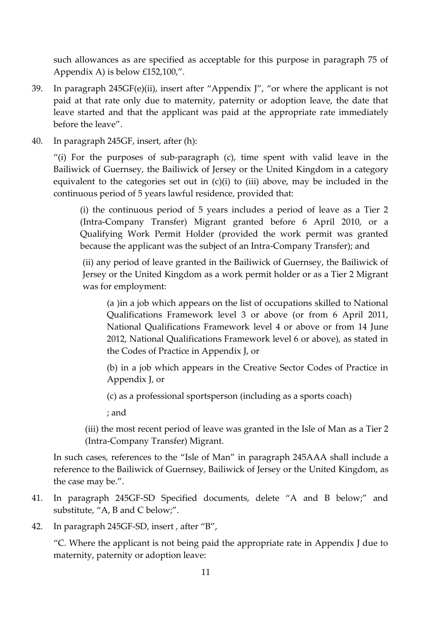such allowances as are specified as acceptable for this purpose in paragraph 75 of Appendix A) is below £152,100,".

- 39. In paragraph  $245GF(e)(ii)$ , insert after "Appendix J", "or where the applicant is not paid at that rate only due to maternity, paternity or adoption leave, the date that leave started and that the applicant was paid at the appropriate rate immediately before the leave".
- 40. In paragraph 245GF, insert, after (h):

"(i) For the purposes of sub-paragraph (c), time spent with valid leave in the Bailiwick of Guernsey, the Bailiwick of Jersey or the United Kingdom in a category equivalent to the categories set out in (c)(i) to (iii) above, may be included in the continuous period of 5 years lawful residence, provided that:

(i) the continuous period of 5 years includes a period of leave as a Tier 2 (Intra-Company Transfer) Migrant granted before 6 April 2010, or a Qualifying Work Permit Holder (provided the work permit was granted because the applicant was the subject of an Intra-Company Transfer); and

(ii) any period of leave granted in the Bailiwick of Guernsey, the Bailiwick of Jersey or the United Kingdom as a work permit holder or as a Tier 2 Migrant was for employment:

(a )in a job which appears on the list of occupations skilled to National Qualifications Framework level 3 or above (or from 6 April 2011, National Qualifications Framework level 4 or above or from 14 June 2012, National Qualifications Framework level 6 or above), as stated in the Codes of Practice in Appendix J, or

(b) in a job which appears in the Creative Sector Codes of Practice in Appendix J, or

(c) as a professional sportsperson (including as a sports coach)

; and

(iii) the most recent period of leave was granted in the Isle of Man as a Tier 2 (Intra-Company Transfer) Migrant.

In such cases, references to the "Isle of Man" in paragraph 245AAA shall include a reference to the Bailiwick of Guernsey, Bailiwick of Jersey or the United Kingdom, as the case may be.".

- 41. In paragraph 245GF-SD Specified documents, delete "A and B below;" and substitute, "A, B and C below;".
- 42. In paragraph 245GF-SD, insert , after "B",

"C. Where the applicant is not being paid the appropriate rate in Appendix J due to maternity, paternity or adoption leave: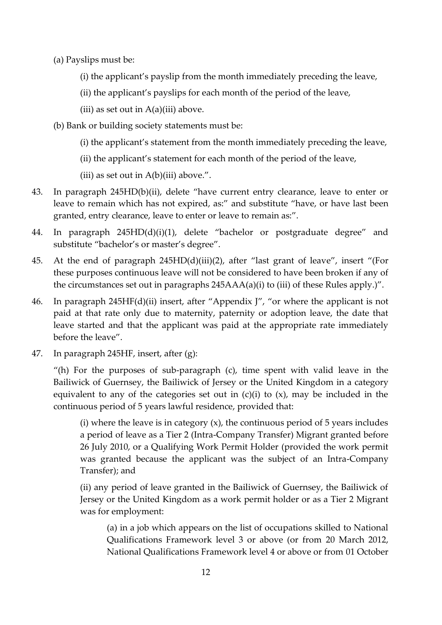- (a) Payslips must be:
	- (i) the applicant's payslip from the month immediately preceding the leave,
	- (ii) the applicant's payslips for each month of the period of the leave,
	- (iii) as set out in  $A(a)$ (iii) above.
- (b) Bank or building society statements must be:
	- (i) the applicant's statement from the month immediately preceding the leave,
	- (ii) the applicant's statement for each month of the period of the leave,
	- (iii) as set out in  $A(b)$ (iii) above.".
- 43. In paragraph 245HD(b)(ii), delete "have current entry clearance, leave to enter or leave to remain which has not expired, as:" and substitute "have, or have last been granted, entry clearance, leave to enter or leave to remain as:".
- 44. In paragraph 245HD(d)(i)(1), delete "bachelor or postgraduate degree" and substitute "bachelor's or master's degree".
- 45. At the end of paragraph 245HD(d)(iii)(2), after "last grant of leave", insert "(For these purposes continuous leave will not be considered to have been broken if any of the circumstances set out in paragraphs 245AAA(a)(i) to (iii) of these Rules apply.)".
- 46. In paragraph 245HF(d)(ii) insert, after "Appendix J", "or where the applicant is not paid at that rate only due to maternity, paternity or adoption leave, the date that leave started and that the applicant was paid at the appropriate rate immediately before the leave".
- 47. In paragraph 245HF, insert, after (g):

"(h) For the purposes of sub-paragraph (c), time spent with valid leave in the Bailiwick of Guernsey, the Bailiwick of Jersey or the United Kingdom in a category equivalent to any of the categories set out in  $(c)(i)$  to  $(x)$ , may be included in the continuous period of 5 years lawful residence, provided that:

(i) where the leave is in category  $(x)$ , the continuous period of 5 years includes a period of leave as a Tier 2 (Intra-Company Transfer) Migrant granted before 26 July 2010, or a Qualifying Work Permit Holder (provided the work permit was granted because the applicant was the subject of an Intra-Company Transfer); and

(ii) any period of leave granted in the Bailiwick of Guernsey, the Bailiwick of Jersey or the United Kingdom as a work permit holder or as a Tier 2 Migrant was for employment:

(a) in a job which appears on the list of occupations skilled to National Qualifications Framework level 3 or above (or from 20 March 2012, National Qualifications Framework level 4 or above or from 01 October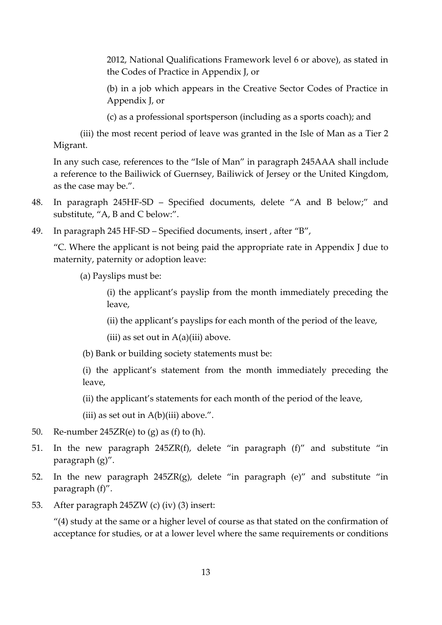2012, National Qualifications Framework level 6 or above), as stated in the Codes of Practice in Appendix J, or

(b) in a job which appears in the Creative Sector Codes of Practice in Appendix J, or

(c) as a professional sportsperson (including as a sports coach); and

(iii) the most recent period of leave was granted in the Isle of Man as a Tier 2 Migrant.

In any such case, references to the "Isle of Man" in paragraph 245AAA shall include a reference to the Bailiwick of Guernsey, Bailiwick of Jersey or the United Kingdom, as the case may be.".

- 48. In paragraph 245HF-SD Specified documents, delete "A and B below;" and substitute, "A, B and C below:".
- 49. In paragraph 245 HF-SD Specified documents, insert , after "B",

"C. Where the applicant is not being paid the appropriate rate in Appendix J due to maternity, paternity or adoption leave:

(a) Payslips must be:

(i) the applicant's payslip from the month immediately preceding the leave,

- (ii) the applicant's payslips for each month of the period of the leave,
- (iii) as set out in  $A(a)$ (iii) above.
- (b) Bank or building society statements must be:

(i) the applicant's statement from the month immediately preceding the leave,

(ii) the applicant's statements for each month of the period of the leave,

(iii) as set out in  $A(b)$ (iii) above.".

- 50. Re-number  $245ZR(e)$  to (g) as (f) to (h).
- 51. In the new paragraph 245ZR(f), delete "in paragraph (f)" and substitute "in paragraph (g)".
- 52. In the new paragraph  $245ZR(g)$ , delete "in paragraph (e)" and substitute "in paragraph (f)".
- 53. After paragraph 245ZW (c) (iv) (3) insert:

"(4) study at the same or a higher level of course as that stated on the confirmation of acceptance for studies, or at a lower level where the same requirements or conditions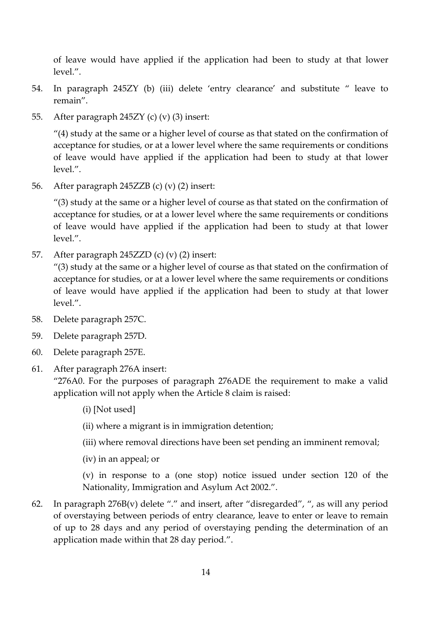of leave would have applied if the application had been to study at that lower level.".

- 54. In paragraph 245ZY (b) (iii) delete 'entry clearance' and substitute " leave to remain".
- 55. After paragraph 245ZY (c) (v) (3) insert:

"(4) study at the same or a higher level of course as that stated on the confirmation of acceptance for studies, or at a lower level where the same requirements or conditions of leave would have applied if the application had been to study at that lower level.".

56. After paragraph 245ZZB (c) (v) (2) insert:

"(3) study at the same or a higher level of course as that stated on the confirmation of acceptance for studies, or at a lower level where the same requirements or conditions of leave would have applied if the application had been to study at that lower level.".

57. After paragraph 245ZZD (c) (v) (2) insert:

"(3) study at the same or a higher level of course as that stated on the confirmation of acceptance for studies, or at a lower level where the same requirements or conditions of leave would have applied if the application had been to study at that lower level.".

- 58. Delete paragraph 257C.
- 59. Delete paragraph 257D.
- 60. Delete paragraph 257E.
- 61. After paragraph 276A insert:

"276A0. For the purposes of paragraph 276ADE the requirement to make a valid application will not apply when the Article 8 claim is raised:

(i) [Not used]

(ii) where a migrant is in immigration detention;

- (iii) where removal directions have been set pending an imminent removal;
- (iv) in an appeal; or

(v) in response to a (one stop) notice issued under section 120 of the Nationality, Immigration and Asylum Act 2002.".

62. In paragraph  $276B(v)$  delete "." and insert, after "disregarded", ", as will any period of overstaying between periods of entry clearance, leave to enter or leave to remain of up to 28 days and any period of overstaying pending the determination of an application made within that 28 day period.".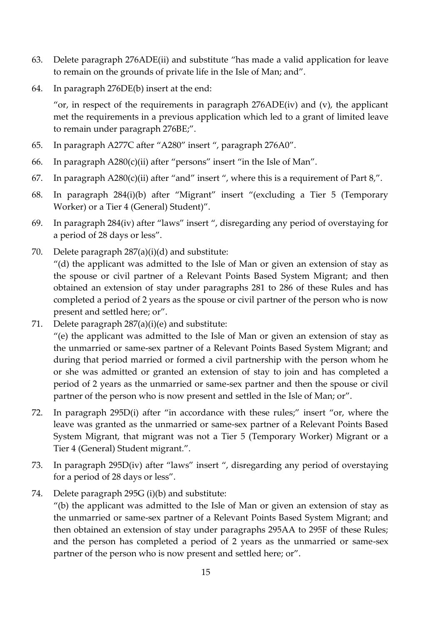- 63. Delete paragraph 276ADE(ii) and substitute "has made a valid application for leave to remain on the grounds of private life in the Isle of Man; and".
- 64. In paragraph 276DE(b) insert at the end:

"or, in respect of the requirements in paragraph  $276ADE(iv)$  and  $(v)$ , the applicant met the requirements in a previous application which led to a grant of limited leave to remain under paragraph 276BE;".

- 65. In paragraph A277C after "A280" insert ", paragraph 276A0".
- 66. In paragraph A280(c)(ii) after "persons" insert "in the Isle of Man".
- 67. In paragraph  $A280(c)(ii)$  after "and" insert", where this is a requirement of Part 8,".
- 68. In paragraph 284(i)(b) after "Migrant" insert "(excluding a Tier 5 (Temporary Worker) or a Tier 4 (General) Student)".
- 69. In paragraph 284(iv) after "laws" insert ", disregarding any period of overstaying for a period of 28 days or less".
- 70. Delete paragraph 287(a)(i)(d) and substitute: "(d) the applicant was admitted to the Isle of Man or given an extension of stay as the spouse or civil partner of a Relevant Points Based System Migrant; and then obtained an extension of stay under paragraphs 281 to 286 of these Rules and has completed a period of 2 years as the spouse or civil partner of the person who is now present and settled here; or".
- 71. Delete paragraph 287(a)(i)(e) and substitute:

"(e) the applicant was admitted to the Isle of Man or given an extension of stay as the unmarried or same-sex partner of a Relevant Points Based System Migrant; and during that period married or formed a civil partnership with the person whom he or she was admitted or granted an extension of stay to join and has completed a period of 2 years as the unmarried or same-sex partner and then the spouse or civil partner of the person who is now present and settled in the Isle of Man; or".

- 72. In paragraph 295D(i) after "in accordance with these rules;" insert "or, where the leave was granted as the unmarried or same-sex partner of a Relevant Points Based System Migrant, that migrant was not a Tier 5 (Temporary Worker) Migrant or a Tier 4 (General) Student migrant.".
- 73. In paragraph 295D(iv) after "laws" insert ", disregarding any period of overstaying for a period of 28 days or less".
- 74. Delete paragraph 295G (i)(b) and substitute:

"(b) the applicant was admitted to the Isle of Man or given an extension of stay as the unmarried or same-sex partner of a Relevant Points Based System Migrant; and then obtained an extension of stay under paragraphs 295AA to 295F of these Rules; and the person has completed a period of 2 years as the unmarried or same-sex partner of the person who is now present and settled here; or".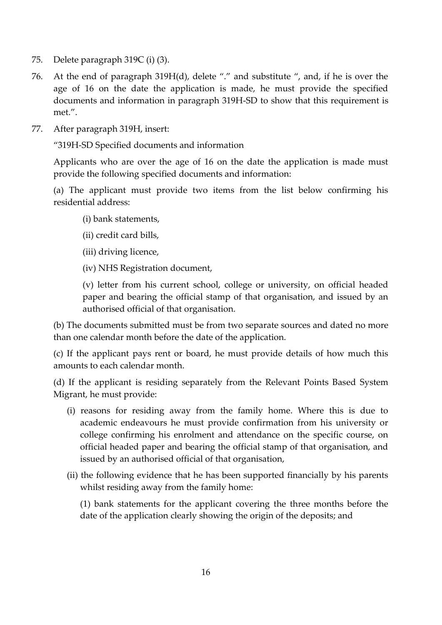- 75. Delete paragraph 319C (i) (3).
- 76. At the end of paragraph 319H(d), delete "." and substitute ", and, if he is over the age of 16 on the date the application is made, he must provide the specified documents and information in paragraph 319H-SD to show that this requirement is met.".
- 77. After paragraph 319H, insert:

"319H-SD Specified documents and information

Applicants who are over the age of 16 on the date the application is made must provide the following specified documents and information:

(a) The applicant must provide two items from the list below confirming his residential address:

- (i) bank statements,
- (ii) credit card bills,
- (iii) driving licence,
- (iv) NHS Registration document,

(v) letter from his current school, college or university, on official headed paper and bearing the official stamp of that organisation, and issued by an authorised official of that organisation.

(b) The documents submitted must be from two separate sources and dated no more than one calendar month before the date of the application.

(c) If the applicant pays rent or board, he must provide details of how much this amounts to each calendar month.

(d) If the applicant is residing separately from the Relevant Points Based System Migrant, he must provide:

- (i) reasons for residing away from the family home. Where this is due to academic endeavours he must provide confirmation from his university or college confirming his enrolment and attendance on the specific course, on official headed paper and bearing the official stamp of that organisation, and issued by an authorised official of that organisation,
- (ii) the following evidence that he has been supported financially by his parents whilst residing away from the family home:

(1) bank statements for the applicant covering the three months before the date of the application clearly showing the origin of the deposits; and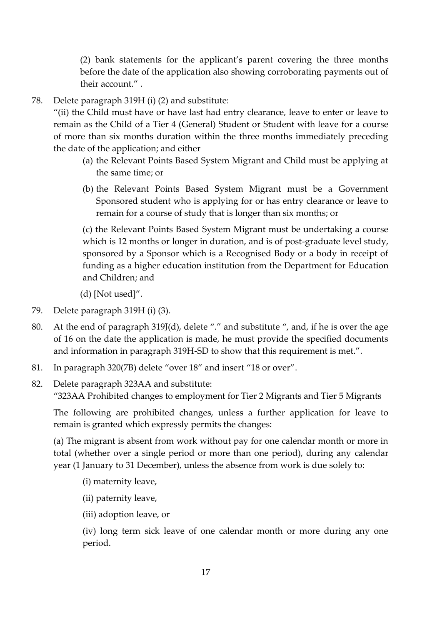(2) bank statements for the applicant's parent covering the three months before the date of the application also showing corroborating payments out of their account." .

78. Delete paragraph 319H (i) (2) and substitute:

"(ii) the Child must have or have last had entry clearance, leave to enter or leave to remain as the Child of a Tier 4 (General) Student or Student with leave for a course of more than six months duration within the three months immediately preceding the date of the application; and either

- (a) the Relevant Points Based System Migrant and Child must be applying at the same time; or
- (b) the Relevant Points Based System Migrant must be a Government Sponsored student who is applying for or has entry clearance or leave to remain for a course of study that is longer than six months; or

(c) the Relevant Points Based System Migrant must be undertaking a course which is 12 months or longer in duration, and is of post-graduate level study, sponsored by a Sponsor which is a Recognised Body or a body in receipt of funding as a higher education institution from the Department for Education and Children; and

(d) [Not used]".

- 79. Delete paragraph 319H (i) (3).
- 80. At the end of paragraph 319J(d), delete "." and substitute ", and, if he is over the age of 16 on the date the application is made, he must provide the specified documents and information in paragraph 319H-SD to show that this requirement is met.".
- 81. In paragraph 320(7B) delete "over 18" and insert "18 or over".
- 82. Delete paragraph 323AA and substitute: "323AA Prohibited changes to employment for Tier 2 Migrants and Tier 5 Migrants

The following are prohibited changes, unless a further application for leave to remain is granted which expressly permits the changes:

(a) The migrant is absent from work without pay for one calendar month or more in total (whether over a single period or more than one period), during any calendar year (1 January to 31 December), unless the absence from work is due solely to:

(i) maternity leave,

- (ii) paternity leave,
- (iii) adoption leave, or

(iv) long term sick leave of one calendar month or more during any one period.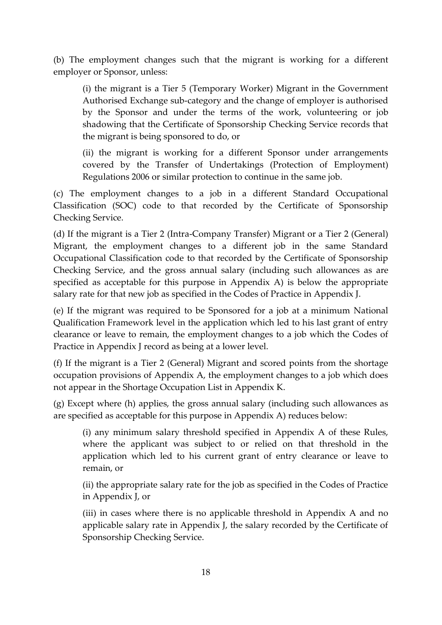(b) The employment changes such that the migrant is working for a different employer or Sponsor, unless:

(i) the migrant is a Tier 5 (Temporary Worker) Migrant in the Government Authorised Exchange sub-category and the change of employer is authorised by the Sponsor and under the terms of the work, volunteering or job shadowing that the Certificate of Sponsorship Checking Service records that the migrant is being sponsored to do, or

(ii) the migrant is working for a different Sponsor under arrangements covered by the Transfer of Undertakings (Protection of Employment) Regulations 2006 or similar protection to continue in the same job.

(c) The employment changes to a job in a different Standard Occupational Classification (SOC) code to that recorded by the Certificate of Sponsorship Checking Service.

(d) If the migrant is a Tier 2 (Intra-Company Transfer) Migrant or a Tier 2 (General) Migrant, the employment changes to a different job in the same Standard Occupational Classification code to that recorded by the Certificate of Sponsorship Checking Service, and the gross annual salary (including such allowances as are specified as acceptable for this purpose in Appendix A) is below the appropriate salary rate for that new job as specified in the Codes of Practice in Appendix J.

(e) If the migrant was required to be Sponsored for a job at a minimum National Qualification Framework level in the application which led to his last grant of entry clearance or leave to remain, the employment changes to a job which the Codes of Practice in Appendix J record as being at a lower level.

(f) If the migrant is a Tier 2 (General) Migrant and scored points from the shortage occupation provisions of Appendix A, the employment changes to a job which does not appear in the Shortage Occupation List in Appendix K.

(g) Except where (h) applies, the gross annual salary (including such allowances as are specified as acceptable for this purpose in Appendix A) reduces below:

(i) any minimum salary threshold specified in Appendix A of these Rules, where the applicant was subject to or relied on that threshold in the application which led to his current grant of entry clearance or leave to remain, or

(ii) the appropriate salary rate for the job as specified in the Codes of Practice in Appendix J, or

(iii) in cases where there is no applicable threshold in Appendix A and no applicable salary rate in Appendix J, the salary recorded by the Certificate of Sponsorship Checking Service.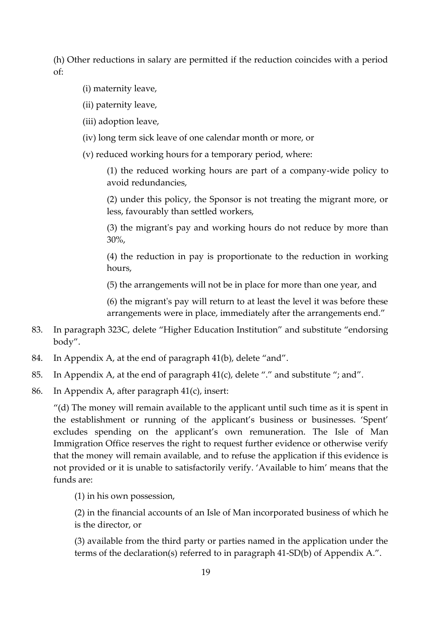(h) Other reductions in salary are permitted if the reduction coincides with a period of:

- (i) maternity leave,
- (ii) paternity leave,
- (iii) adoption leave,
- (iv) long term sick leave of one calendar month or more, or
- (v) reduced working hours for a temporary period, where:

(1) the reduced working hours are part of a company-wide policy to avoid redundancies,

(2) under this policy, the Sponsor is not treating the migrant more, or less, favourably than settled workers,

(3) the migrant's pay and working hours do not reduce by more than 30%,

(4) the reduction in pay is proportionate to the reduction in working hours,

(5) the arrangements will not be in place for more than one year, and

(6) the migrant's pay will return to at least the level it was before these arrangements were in place, immediately after the arrangements end."

- 83. In paragraph 323C, delete "Higher Education Institution" and substitute "endorsing body".
- 84. In Appendix A, at the end of paragraph 41(b), delete "and".
- 85. In Appendix A, at the end of paragraph 41(c), delete "." and substitute "; and".
- 86. In Appendix A, after paragraph 41(c), insert:

"(d) The money will remain available to the applicant until such time as it is spent in the establishment or running of the applicant's business or businesses. 'Spent' excludes spending on the applicant's own remuneration. The Isle of Man Immigration Office reserves the right to request further evidence or otherwise verify that the money will remain available, and to refuse the application if this evidence is not provided or it is unable to satisfactorily verify. 'Available to him' means that the funds are:

(1) in his own possession,

(2) in the financial accounts of an Isle of Man incorporated business of which he is the director, or

(3) available from the third party or parties named in the application under the terms of the declaration(s) referred to in paragraph 41-SD(b) of Appendix A.".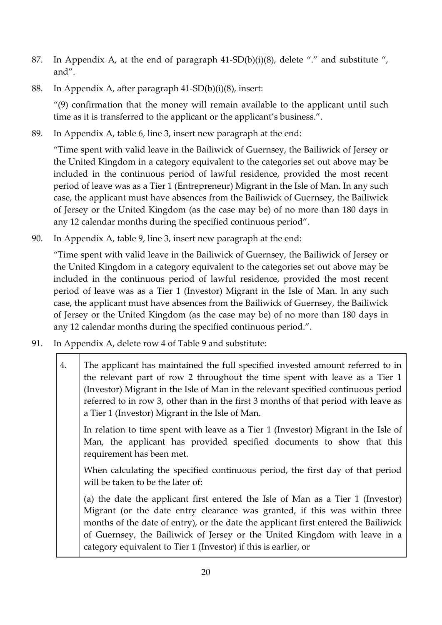- 87. In Appendix A, at the end of paragraph  $41-SD(b)(i)(8)$ , delete "." and substitute ", and".
- 88. In Appendix A, after paragraph 41-SD(b)(i)(8), insert:

"(9) confirmation that the money will remain available to the applicant until such time as it is transferred to the applicant or the applicant's business.".

89. In Appendix A, table 6, line 3, insert new paragraph at the end:

"Time spent with valid leave in the Bailiwick of Guernsey, the Bailiwick of Jersey or the United Kingdom in a category equivalent to the categories set out above may be included in the continuous period of lawful residence, provided the most recent period of leave was as a Tier 1 (Entrepreneur) Migrant in the Isle of Man. In any such case, the applicant must have absences from the Bailiwick of Guernsey, the Bailiwick of Jersey or the United Kingdom (as the case may be) of no more than 180 days in any 12 calendar months during the specified continuous period".

90. In Appendix A, table 9, line 3, insert new paragraph at the end:

"Time spent with valid leave in the Bailiwick of Guernsey, the Bailiwick of Jersey or the United Kingdom in a category equivalent to the categories set out above may be included in the continuous period of lawful residence, provided the most recent period of leave was as a Tier 1 (Investor) Migrant in the Isle of Man. In any such case, the applicant must have absences from the Bailiwick of Guernsey, the Bailiwick of Jersey or the United Kingdom (as the case may be) of no more than 180 days in any 12 calendar months during the specified continuous period.".

- 91. In Appendix A, delete row 4 of Table 9 and substitute:
	- 4. The applicant has maintained the full specified invested amount referred to in the relevant part of row 2 throughout the time spent with leave as a Tier 1 (Investor) Migrant in the Isle of Man in the relevant specified continuous period referred to in row 3, other than in the first 3 months of that period with leave as a Tier 1 (Investor) Migrant in the Isle of Man.

In relation to time spent with leave as a Tier 1 (Investor) Migrant in the Isle of Man, the applicant has provided specified documents to show that this requirement has been met.

When calculating the specified continuous period, the first day of that period will be taken to be the later of:

(a) the date the applicant first entered the Isle of Man as a Tier 1 (Investor) Migrant (or the date entry clearance was granted, if this was within three months of the date of entry), or the date the applicant first entered the Bailiwick of Guernsey, the Bailiwick of Jersey or the United Kingdom with leave in a category equivalent to Tier 1 (Investor) if this is earlier, or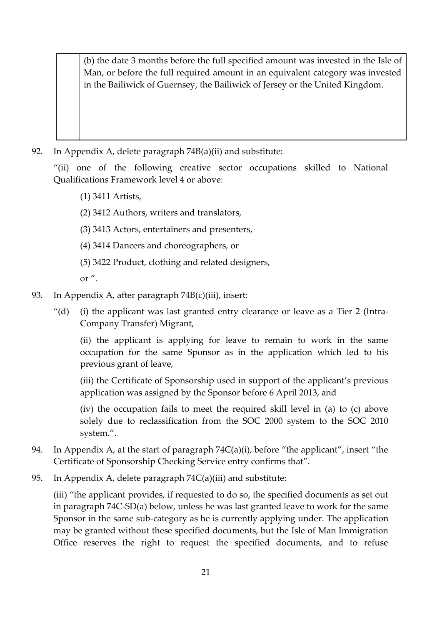(b) the date 3 months before the full specified amount was invested in the Isle of Man, or before the full required amount in an equivalent category was invested in the Bailiwick of Guernsey, the Bailiwick of Jersey or the United Kingdom.

92. In Appendix A, delete paragraph 74B(a)(ii) and substitute:

"(ii) one of the following creative sector occupations skilled to National Qualifications Framework level 4 or above:

- (1) 3411 Artists,
- (2) 3412 Authors, writers and translators,
- (3) 3413 Actors, entertainers and presenters,
- (4) 3414 Dancers and choreographers, or
- (5) 3422 Product, clothing and related designers,

or ".

- 93. In Appendix A, after paragraph 74B(c)(iii), insert:
	- "(d) (i) the applicant was last granted entry clearance or leave as a Tier 2 (Intra-Company Transfer) Migrant,

(ii) the applicant is applying for leave to remain to work in the same occupation for the same Sponsor as in the application which led to his previous grant of leave,

(iii) the Certificate of Sponsorship used in support of the applicant's previous application was assigned by the Sponsor before 6 April 2013, and

(iv) the occupation fails to meet the required skill level in (a) to (c) above solely due to reclassification from the SOC 2000 system to the SOC 2010 system.".

- 94. In Appendix A, at the start of paragraph  $74C(a)(i)$ , before "the applicant", insert "the Certificate of Sponsorship Checking Service entry confirms that".
- 95. In Appendix A, delete paragraph 74C(a)(iii) and substitute:

(iii) "the applicant provides, if requested to do so, the specified documents as set out in paragraph 74C-SD(a) below, unless he was last granted leave to work for the same Sponsor in the same sub-category as he is currently applying under. The application may be granted without these specified documents, but the Isle of Man Immigration Office reserves the right to request the specified documents, and to refuse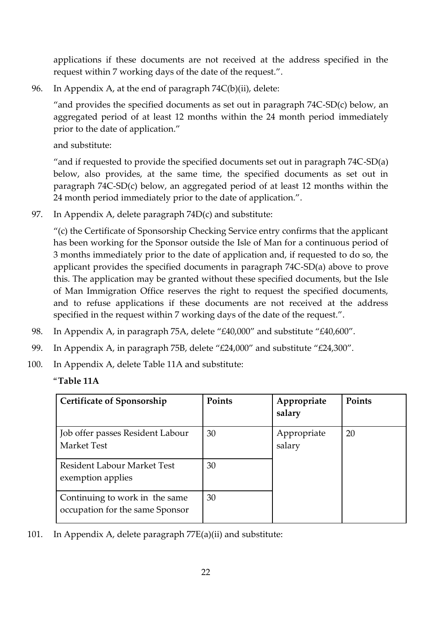applications if these documents are not received at the address specified in the request within 7 working days of the date of the request.".

96. In Appendix A, at the end of paragraph 74C(b)(ii), delete:

"and provides the specified documents as set out in paragraph 74C-SD(c) below, an aggregated period of at least 12 months within the 24 month period immediately prior to the date of application."

and substitute:

"and if requested to provide the specified documents set out in paragraph 74C-SD(a) below, also provides, at the same time, the specified documents as set out in paragraph 74C-SD(c) below, an aggregated period of at least 12 months within the 24 month period immediately prior to the date of application.".

97. In Appendix A, delete paragraph 74D(c) and substitute:

"(c) the Certificate of Sponsorship Checking Service entry confirms that the applicant has been working for the Sponsor outside the Isle of Man for a continuous period of 3 months immediately prior to the date of application and, if requested to do so, the applicant provides the specified documents in paragraph 74C-SD(a) above to prove this. The application may be granted without these specified documents, but the Isle of Man Immigration Office reserves the right to request the specified documents, and to refuse applications if these documents are not received at the address specified in the request within 7 working days of the date of the request.".

- 98. In Appendix A, in paragraph 75A, delete "£40,000" and substitute "£40,600".
- 99. In Appendix A, in paragraph 75B, delete "£24,000" and substitute "£24,300".
- 100. In Appendix A, delete Table 11A and substitute:

#### "**Table 11A**

| <b>Certificate of Sponsorship</b>                                 | Points | Appropriate<br>salary | Points |
|-------------------------------------------------------------------|--------|-----------------------|--------|
| Job offer passes Resident Labour<br><b>Market Test</b>            | 30     | Appropriate<br>salary | 20     |
| <b>Resident Labour Market Test</b><br>exemption applies           | 30     |                       |        |
| Continuing to work in the same<br>occupation for the same Sponsor | 30     |                       |        |

101. In Appendix A, delete paragraph 77E(a)(ii) and substitute: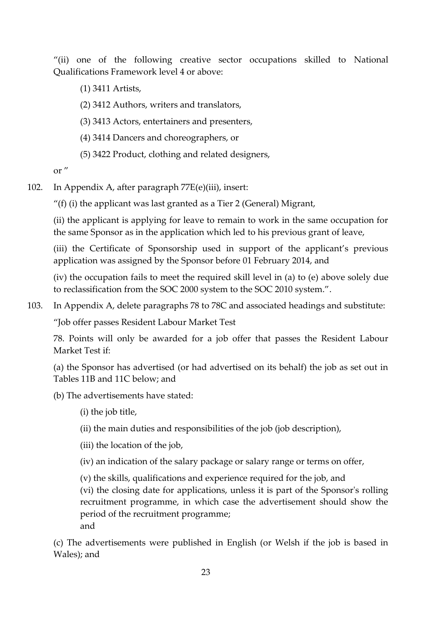"(ii) one of the following creative sector occupations skilled to National Qualifications Framework level 4 or above:

(1) 3411 Artists,

(2) 3412 Authors, writers and translators,

(3) 3413 Actors, entertainers and presenters,

(4) 3414 Dancers and choreographers, or

(5) 3422 Product, clothing and related designers,

or "

102. In Appendix A, after paragraph 77E(e)(iii), insert:

"(f) (i) the applicant was last granted as a Tier 2 (General) Migrant,

(ii) the applicant is applying for leave to remain to work in the same occupation for the same Sponsor as in the application which led to his previous grant of leave,

(iii) the Certificate of Sponsorship used in support of the applicant's previous application was assigned by the Sponsor before 01 February 2014, and

(iv) the occupation fails to meet the required skill level in (a) to (e) above solely due to reclassification from the SOC 2000 system to the SOC 2010 system.".

103. In Appendix A, delete paragraphs 78 to 78C and associated headings and substitute:

"Job offer passes Resident Labour Market Test

78. Points will only be awarded for a job offer that passes the Resident Labour Market Test if:

(a) the Sponsor has advertised (or had advertised on its behalf) the job as set out in Tables 11B and 11C below; and

(b) The advertisements have stated:

(i) the job title,

(ii) the main duties and responsibilities of the job (job description),

(iii) the location of the job,

(iv) an indication of the salary package or salary range or terms on offer,

(v) the skills, qualifications and experience required for the job, and

(vi) the closing date for applications, unless it is part of the Sponsor's rolling recruitment programme, in which case the advertisement should show the period of the recruitment programme;

and

(c) The advertisements were published in English (or Welsh if the job is based in Wales); and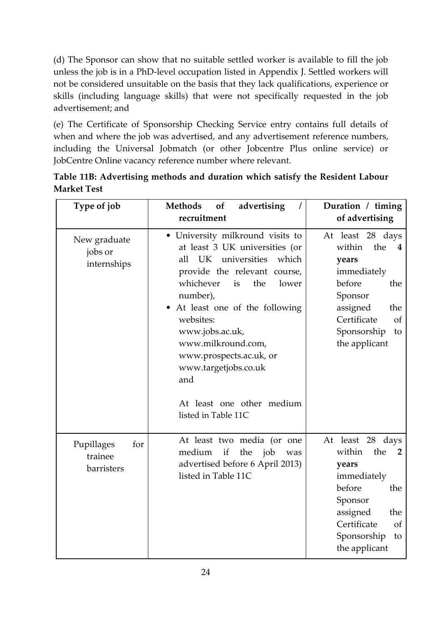(d) The Sponsor can show that no suitable settled worker is available to fill the job unless the job is in a PhD-level occupation listed in Appendix J. Settled workers will not be considered unsuitable on the basis that they lack qualifications, experience or skills (including language skills) that were not specifically requested in the job advertisement; and

(e) The Certificate of Sponsorship Checking Service entry contains full details of when and where the job was advertised, and any advertisement reference numbers, including the Universal Jobmatch (or other Jobcentre Plus online service) or JobCentre Online vacancy reference number where relevant.

| Type of job                                | <b>Methods</b><br>of<br>advertising<br>$\prime$<br>recruitment                                                                                                                                                                                                                                                                                                                              | Duration / timing<br>of advertising                                                                                                                                                 |
|--------------------------------------------|---------------------------------------------------------------------------------------------------------------------------------------------------------------------------------------------------------------------------------------------------------------------------------------------------------------------------------------------------------------------------------------------|-------------------------------------------------------------------------------------------------------------------------------------------------------------------------------------|
| New graduate<br>jobs or<br>internships     | • University milkround visits to<br>at least 3 UK universities (or<br>UK universities<br>which<br>all<br>provide the relevant course,<br>whichever<br>the<br>is<br>lower<br>number),<br>• At least one of the following<br>websites:<br>www.jobs.ac.uk,<br>www.milkround.com,<br>www.prospects.ac.uk, or<br>www.targetjobs.co.uk<br>and<br>At least one other medium<br>listed in Table 11C | At least 28 days<br>within<br>the<br>4<br>years<br>immediately<br>before<br>the<br>Sponsor<br>assigned<br>the<br>Certificate<br><sub>of</sub><br>Sponsorship<br>to<br>the applicant |
| Pupillages<br>for<br>trainee<br>barristers | At least two media (or one<br>the job<br>medium<br>if<br>was<br>advertised before 6 April 2013)<br>listed in Table 11C                                                                                                                                                                                                                                                                      | At least 28 days<br>the<br>within<br>2<br>years<br>immediately<br>before<br>the<br>Sponsor<br>assigned<br>the<br>Certificate<br><sub>of</sub><br>Sponsorship<br>to<br>the applicant |

**Table 11B: Advertising methods and duration which satisfy the Resident Labour Market Test**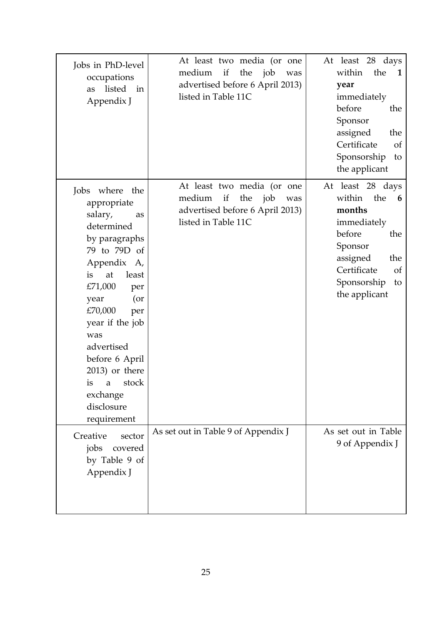| Jobs in PhD-level<br>occupations<br>listed<br>in<br>as<br>Appendix J                                                                                                                                                                                                                                                                        | At least two media (or one<br>medium<br>if<br>the job<br>was<br>advertised before 6 April 2013)<br>listed in Table 11C | At least 28 days<br>within<br>the<br>1<br>year<br>immediately<br>before<br>the<br>Sponsor<br>assigned<br>the<br>Certificate<br><sub>of</sub><br>Sponsorship<br>to<br>the applicant   |
|---------------------------------------------------------------------------------------------------------------------------------------------------------------------------------------------------------------------------------------------------------------------------------------------------------------------------------------------|------------------------------------------------------------------------------------------------------------------------|--------------------------------------------------------------------------------------------------------------------------------------------------------------------------------------|
| Jobs where<br>the<br>appropriate<br>salary,<br>as<br>determined<br>by paragraphs<br>79 to 79D of<br>Appendix A,<br>at<br>least<br>is<br>£71,000<br>per<br>(or<br>year<br>£70,000<br>per<br>year if the job<br>was<br>advertised<br>before 6 April<br>2013) or there<br>stock<br>is<br>$\mathbf{a}$<br>exchange<br>disclosure<br>requirement | At least two media (or one<br>the job<br>medium<br>if<br>was<br>advertised before 6 April 2013)<br>listed in Table 11C | At least 28 days<br>within<br>the<br>6<br>months<br>immediately<br>before<br>the<br>Sponsor<br>assigned<br>the<br>Certificate<br><sub>of</sub><br>Sponsorship<br>to<br>the applicant |
| Creative<br>sector<br>jobs<br>covered<br>by Table 9 of<br>Appendix J                                                                                                                                                                                                                                                                        | As set out in Table 9 of Appendix J                                                                                    | As set out in Table<br>9 of Appendix J                                                                                                                                               |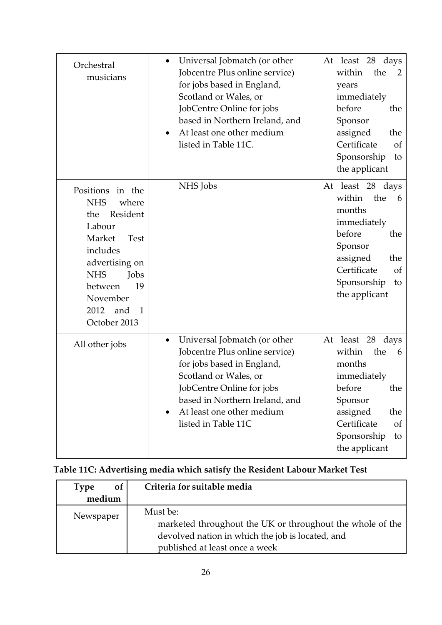| Orchestral<br>musicians                                                                                                                                                                                                          | Universal Jobmatch (or other<br>$\bullet$<br>Jobcentre Plus online service)<br>for jobs based in England,<br>Scotland or Wales, or<br>JobCentre Online for jobs<br>based in Northern Ireland, and<br>At least one other medium<br>$\bullet$<br>listed in Table 11C. | At least 28 days<br>within<br>the<br>2<br>years<br>immediately<br>before<br>the<br>Sponsor<br>assigned<br>the<br>Certificate<br>of<br>Sponsorship<br>to<br>the applicant                |
|----------------------------------------------------------------------------------------------------------------------------------------------------------------------------------------------------------------------------------|---------------------------------------------------------------------------------------------------------------------------------------------------------------------------------------------------------------------------------------------------------------------|-----------------------------------------------------------------------------------------------------------------------------------------------------------------------------------------|
| Positions<br>in the<br><b>NHS</b><br>where<br>Resident<br>the<br>Labour<br>Market<br><b>Test</b><br>includes<br>advertising on<br><b>NHS</b><br>Jobs<br>19<br>between<br>November<br>2012<br>and<br>$\mathbf{1}$<br>October 2013 | NHS Jobs                                                                                                                                                                                                                                                            | At least 28 days<br>within<br>the<br>6<br>months<br>immediately<br>before<br>the<br>Sponsor<br>assigned<br>the<br>Certificate<br><sub>of</sub><br>Sponsorship<br>to<br>the applicant    |
| All other jobs                                                                                                                                                                                                                   | Universal Jobmatch (or other<br>$\bullet$<br>Jobcentre Plus online service)<br>for jobs based in England,<br>Scotland or Wales, or<br>JobCentre Online for jobs<br>based in Northern Ireland, and<br>At least one other medium<br>listed in Table 11C               | At least 28<br>days<br>within<br>the<br>6<br>months<br>immediately<br>before<br>the<br>Sponsor<br>assigned<br>the<br>Certificate<br><sub>of</sub><br>Sponsorship<br>to<br>the applicant |

# **Table 11C: Advertising media which satisfy the Resident Labour Market Test**

| of<br><b>Type</b> | Criteria for suitable media                                                                                                                                 |
|-------------------|-------------------------------------------------------------------------------------------------------------------------------------------------------------|
| medium            |                                                                                                                                                             |
| Newspaper         | Must be:<br>marketed throughout the UK or throughout the whole of the<br>devolved nation in which the job is located, and<br>published at least once a week |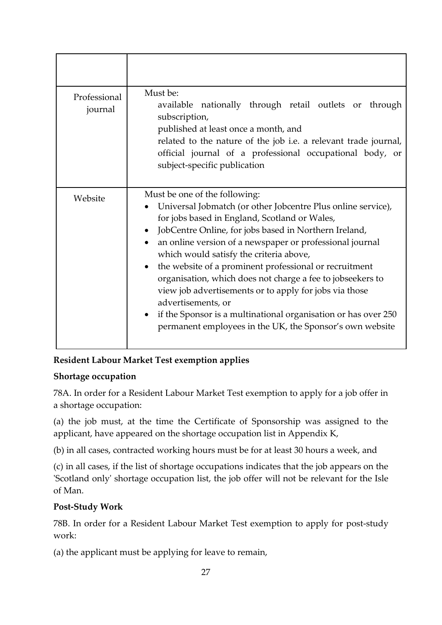| Professional<br>journal | Must be:<br>available nationally through retail outlets or through<br>subscription,<br>published at least once a month, and<br>related to the nature of the job i.e. a relevant trade journal,<br>official journal of a professional occupational body, or<br>subject-specific publication                                                                                                                                                                                                                                                                                                                                                                                     |
|-------------------------|--------------------------------------------------------------------------------------------------------------------------------------------------------------------------------------------------------------------------------------------------------------------------------------------------------------------------------------------------------------------------------------------------------------------------------------------------------------------------------------------------------------------------------------------------------------------------------------------------------------------------------------------------------------------------------|
| Website                 | Must be one of the following:<br>Universal Jobmatch (or other Jobcentre Plus online service),<br>for jobs based in England, Scotland or Wales,<br>JobCentre Online, for jobs based in Northern Ireland,<br>an online version of a newspaper or professional journal<br>$\bullet$<br>which would satisfy the criteria above,<br>the website of a prominent professional or recruitment<br>$\bullet$<br>organisation, which does not charge a fee to jobseekers to<br>view job advertisements or to apply for jobs via those<br>advertisements, or<br>if the Sponsor is a multinational organisation or has over 250<br>permanent employees in the UK, the Sponsor's own website |

# **Resident Labour Market Test exemption applies**

## **Shortage occupation**

78A. In order for a Resident Labour Market Test exemption to apply for a job offer in a shortage occupation:

(a) the job must, at the time the Certificate of Sponsorship was assigned to the applicant, have appeared on the shortage occupation list in Appendix K,

(b) in all cases, contracted working hours must be for at least 30 hours a week, and

(c) in all cases, if the list of shortage occupations indicates that the job appears on the 'Scotland only' shortage occupation list, the job offer will not be relevant for the Isle of Man.

## **Post-Study Work**

78B. In order for a Resident Labour Market Test exemption to apply for post-study work:

(a) the applicant must be applying for leave to remain,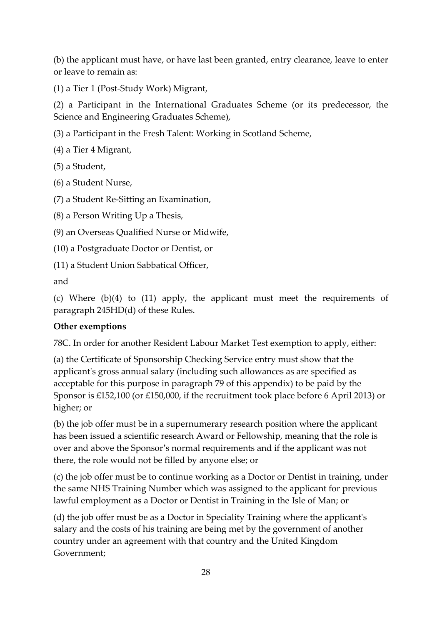(b) the applicant must have, or have last been granted, entry clearance, leave to enter or leave to remain as:

(1) a Tier 1 (Post-Study Work) Migrant,

(2) a Participant in the International Graduates Scheme (or its predecessor, the Science and Engineering Graduates Scheme),

(3) a Participant in the Fresh Talent: Working in Scotland Scheme,

(4) a Tier 4 Migrant,

(5) a Student,

(6) a Student Nurse,

(7) a Student Re-Sitting an Examination,

(8) a Person Writing Up a Thesis,

(9) an Overseas Qualified Nurse or Midwife,

(10) a Postgraduate Doctor or Dentist, or

(11) a Student Union Sabbatical Officer,

and

(c) Where (b)(4) to (11) apply, the applicant must meet the requirements of paragraph 245HD(d) of these Rules.

## **Other exemptions**

78C. In order for another Resident Labour Market Test exemption to apply, either:

(a) the Certificate of Sponsorship Checking Service entry must show that the applicant's gross annual salary (including such allowances as are specified as acceptable for this purpose in paragraph 79 of this appendix) to be paid by the Sponsor is £152,100 (or £150,000, if the recruitment took place before 6 April 2013) or higher; or

(b) the job offer must be in a supernumerary research position where the applicant has been issued a scientific research Award or Fellowship, meaning that the role is over and above the Sponsor's normal requirements and if the applicant was not there, the role would not be filled by anyone else; or

(c) the job offer must be to continue working as a Doctor or Dentist in training, under the same NHS Training Number which was assigned to the applicant for previous lawful employment as a Doctor or Dentist in Training in the Isle of Man; or

(d) the job offer must be as a Doctor in Speciality Training where the applicant's salary and the costs of his training are being met by the government of another country under an agreement with that country and the United Kingdom Government;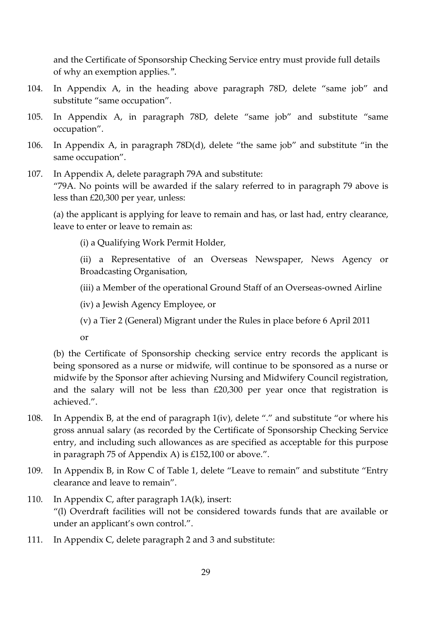and the Certificate of Sponsorship Checking Service entry must provide full details of why an exemption applies.".

- 104. In Appendix A, in the heading above paragraph 78D, delete "same job" and substitute "same occupation".
- 105. In Appendix A, in paragraph 78D, delete "same job" and substitute "same occupation".
- 106. In Appendix A, in paragraph 78D(d), delete "the same job" and substitute "in the same occupation".
- 107. In Appendix A, delete paragraph 79A and substitute: "79A. No points will be awarded if the salary referred to in paragraph 79 above is less than £20,300 per year, unless:

(a) the applicant is applying for leave to remain and has, or last had, entry clearance, leave to enter or leave to remain as:

(i) a Qualifying Work Permit Holder,

(ii) a Representative of an Overseas Newspaper, News Agency or Broadcasting Organisation,

- (iii) a Member of the operational Ground Staff of an Overseas-owned Airline
- (iv) a Jewish Agency Employee, or
- (v) a Tier 2 (General) Migrant under the Rules in place before 6 April 2011

or

(b) the Certificate of Sponsorship checking service entry records the applicant is being sponsored as a nurse or midwife, will continue to be sponsored as a nurse or midwife by the Sponsor after achieving Nursing and Midwifery Council registration, and the salary will not be less than £20,300 per year once that registration is achieved.".

- 108. In Appendix B, at the end of paragraph 1(iv), delete "." and substitute "or where his gross annual salary (as recorded by the Certificate of Sponsorship Checking Service entry, and including such allowances as are specified as acceptable for this purpose in paragraph 75 of Appendix A) is £152,100 or above.".
- 109. In Appendix B, in Row C of Table 1, delete "Leave to remain" and substitute "Entry clearance and leave to remain".
- 110. In Appendix C, after paragraph 1A(k), insert: "(l) Overdraft facilities will not be considered towards funds that are available or under an applicant's own control.".
- 111. In Appendix C, delete paragraph 2 and 3 and substitute: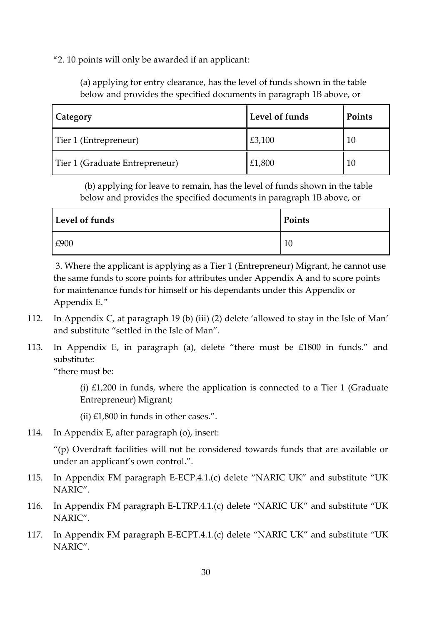"2. 10 points will only be awarded if an applicant:

(a) applying for entry clearance, has the level of funds shown in the table below and provides the specified documents in paragraph 1B above, or

| Category                       | Level of funds | Points |
|--------------------------------|----------------|--------|
| Tier 1 (Entrepreneur)          | £3,100         | 10     |
| Tier 1 (Graduate Entrepreneur) | £1,800         | 10     |

 (b) applying for leave to remain, has the level of funds shown in the table below and provides the specified documents in paragraph 1B above, or

| Level of funds | Points |
|----------------|--------|
| £900           | 10     |

3. Where the applicant is applying as a Tier 1 (Entrepreneur) Migrant, he cannot use the same funds to score points for attributes under Appendix A and to score points for maintenance funds for himself or his dependants under this Appendix or Appendix E."

- 112. In Appendix C, at paragraph 19 (b) (iii) (2) delete 'allowed to stay in the Isle of Man' and substitute "settled in the Isle of Man".
- 113. In Appendix E, in paragraph (a), delete "there must be £1800 in funds." and substitute:

"there must be:

(i)  $£1,200$  in funds, where the application is connected to a Tier 1 (Graduate Entrepreneur) Migrant;

(ii)  $£1,800$  in funds in other cases.".

114. In Appendix E, after paragraph (o), insert:

"(p) Overdraft facilities will not be considered towards funds that are available or under an applicant's own control.".

- 115. In Appendix FM paragraph E-ECP.4.1.(c) delete "NARIC UK" and substitute "UK NARIC".
- 116. In Appendix FM paragraph E-LTRP.4.1.(c) delete "NARIC UK" and substitute "UK NARIC".
- 117. In Appendix FM paragraph E-ECPT.4.1.(c) delete "NARIC UK" and substitute "UK NARIC".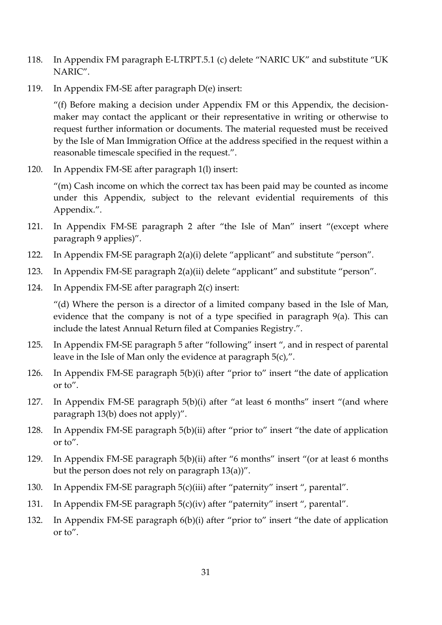- 118. In Appendix FM paragraph E-LTRPT.5.1 (c) delete "NARIC UK" and substitute "UK NARIC".
- 119. In Appendix FM-SE after paragraph D(e) insert:

"(f) Before making a decision under Appendix FM or this Appendix, the decisionmaker may contact the applicant or their representative in writing or otherwise to request further information or documents. The material requested must be received by the Isle of Man Immigration Office at the address specified in the request within a reasonable timescale specified in the request.".

120. In Appendix FM-SE after paragraph 1(l) insert:

"(m) Cash income on which the correct tax has been paid may be counted as income under this Appendix, subject to the relevant evidential requirements of this Appendix.".

- 121. In Appendix FM-SE paragraph 2 after "the Isle of Man" insert "(except where paragraph 9 applies)".
- 122. In Appendix FM-SE paragraph 2(a)(i) delete "applicant" and substitute "person".
- 123. In Appendix FM-SE paragraph 2(a)(ii) delete "applicant" and substitute "person".
- 124. In Appendix FM-SE after paragraph 2(c) insert:

"(d) Where the person is a director of a limited company based in the Isle of Man, evidence that the company is not of a type specified in paragraph 9(a). This can include the latest Annual Return filed at Companies Registry.".

- 125. In Appendix FM-SE paragraph 5 after "following" insert ", and in respect of parental leave in the Isle of Man only the evidence at paragraph 5(c),".
- 126. In Appendix FM-SE paragraph 5(b)(i) after "prior to" insert "the date of application or to".
- 127. In Appendix FM-SE paragraph 5(b)(i) after "at least 6 months" insert "(and where paragraph 13(b) does not apply)".
- 128. In Appendix FM-SE paragraph 5(b)(ii) after "prior to" insert "the date of application or to".
- 129. In Appendix FM-SE paragraph 5(b)(ii) after "6 months" insert "(or at least 6 months but the person does not rely on paragraph 13(a))".
- 130. In Appendix FM-SE paragraph 5(c)(iii) after "paternity" insert ", parental".
- 131. In Appendix FM-SE paragraph 5(c)(iv) after "paternity" insert ", parental".
- 132. In Appendix FM-SE paragraph 6(b)(i) after "prior to" insert "the date of application or to".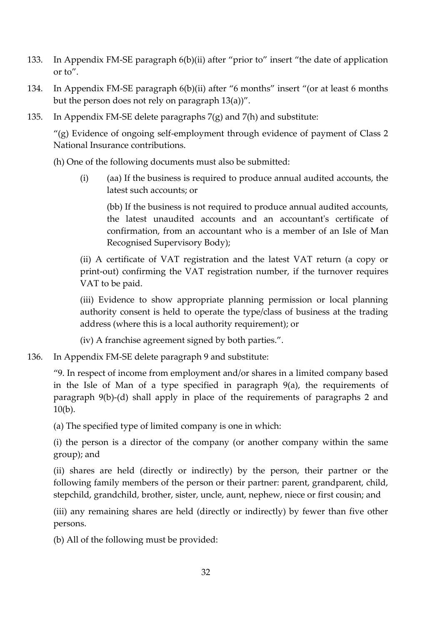- 133. In Appendix FM-SE paragraph 6(b)(ii) after "prior to" insert "the date of application or to".
- 134. In Appendix FM-SE paragraph 6(b)(ii) after "6 months" insert "(or at least 6 months but the person does not rely on paragraph 13(a))".
- 135. In Appendix FM-SE delete paragraphs 7(g) and 7(h) and substitute:

"(g) Evidence of ongoing self-employment through evidence of payment of Class 2 National Insurance contributions.

(h) One of the following documents must also be submitted:

(i) (aa) If the business is required to produce annual audited accounts, the latest such accounts; or

(bb) If the business is not required to produce annual audited accounts, the latest unaudited accounts and an accountant's certificate of confirmation, from an accountant who is a member of an Isle of Man Recognised Supervisory Body);

(ii) A certificate of VAT registration and the latest VAT return (a copy or print-out) confirming the VAT registration number, if the turnover requires VAT to be paid.

(iii) Evidence to show appropriate planning permission or local planning authority consent is held to operate the type/class of business at the trading address (where this is a local authority requirement); or

(iv) A franchise agreement signed by both parties.".

136. In Appendix FM-SE delete paragraph 9 and substitute:

"9. In respect of income from employment and/or shares in a limited company based in the Isle of Man of a type specified in paragraph 9(a), the requirements of paragraph 9(b)-(d) shall apply in place of the requirements of paragraphs 2 and 10(b).

(a) The specified type of limited company is one in which:

(i) the person is a director of the company (or another company within the same group); and

(ii) shares are held (directly or indirectly) by the person, their partner or the following family members of the person or their partner: parent, grandparent, child, stepchild, grandchild, brother, sister, uncle, aunt, nephew, niece or first cousin; and

(iii) any remaining shares are held (directly or indirectly) by fewer than five other persons.

(b) All of the following must be provided: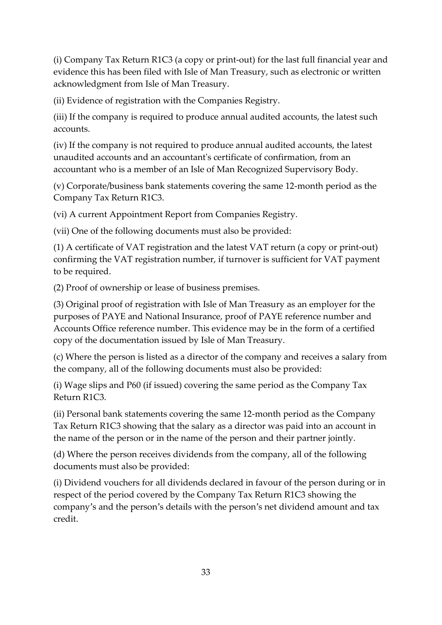(i) Company Tax Return R1C3 (a copy or print-out) for the last full financial year and evidence this has been filed with Isle of Man Treasury, such as electronic or written acknowledgment from Isle of Man Treasury.

(ii) Evidence of registration with the Companies Registry.

(iii) If the company is required to produce annual audited accounts, the latest such accounts.

(iv) If the company is not required to produce annual audited accounts, the latest unaudited accounts and an accountant's certificate of confirmation, from an accountant who is a member of an Isle of Man Recognized Supervisory Body.

(v) Corporate/business bank statements covering the same 12-month period as the Company Tax Return R1C3.

(vi) A current Appointment Report from Companies Registry.

(vii) One of the following documents must also be provided:

(1) A certificate of VAT registration and the latest VAT return (a copy or print-out) confirming the VAT registration number, if turnover is sufficient for VAT payment to be required.

(2) Proof of ownership or lease of business premises.

(3) Original proof of registration with Isle of Man Treasury as an employer for the purposes of PAYE and National Insurance, proof of PAYE reference number and Accounts Office reference number. This evidence may be in the form of a certified copy of the documentation issued by Isle of Man Treasury.

(c) Where the person is listed as a director of the company and receives a salary from the company, all of the following documents must also be provided:

(i) Wage slips and P60 (if issued) covering the same period as the Company Tax Return R1C3.

(ii) Personal bank statements covering the same 12-month period as the Company Tax Return R1C3 showing that the salary as a director was paid into an account in the name of the person or in the name of the person and their partner jointly.

(d) Where the person receives dividends from the company, all of the following documents must also be provided:

(i) Dividend vouchers for all dividends declared in favour of the person during or in respect of the period covered by the Company Tax Return R1C3 showing the company's and the person's details with the person's net dividend amount and tax credit.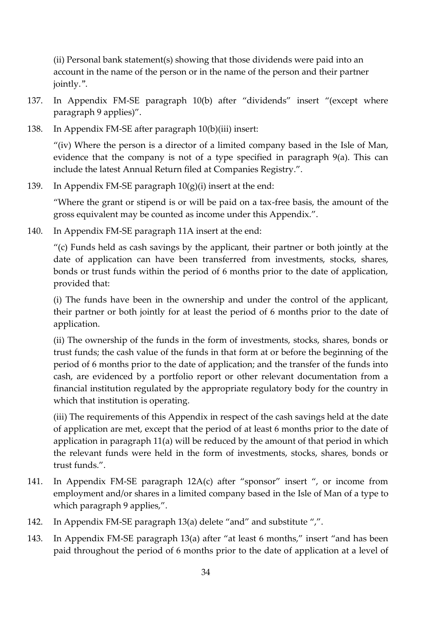(ii) Personal bank statement(s) showing that those dividends were paid into an account in the name of the person or in the name of the person and their partner jointly.".

- 137. In Appendix FM-SE paragraph 10(b) after "dividends" insert "(except where paragraph 9 applies)".
- 138. In Appendix FM-SE after paragraph 10(b)(iii) insert:

"(iv) Where the person is a director of a limited company based in the Isle of Man, evidence that the company is not of a type specified in paragraph 9(a). This can include the latest Annual Return filed at Companies Registry.".

139. In Appendix FM-SE paragraph  $10(g)(i)$  insert at the end:

"Where the grant or stipend is or will be paid on a tax-free basis, the amount of the gross equivalent may be counted as income under this Appendix.".

140. In Appendix FM-SE paragraph 11A insert at the end:

"(c) Funds held as cash savings by the applicant, their partner or both jointly at the date of application can have been transferred from investments, stocks, shares, bonds or trust funds within the period of 6 months prior to the date of application, provided that:

(i) The funds have been in the ownership and under the control of the applicant, their partner or both jointly for at least the period of 6 months prior to the date of application.

(ii) The ownership of the funds in the form of investments, stocks, shares, bonds or trust funds; the cash value of the funds in that form at or before the beginning of the period of 6 months prior to the date of application; and the transfer of the funds into cash, are evidenced by a portfolio report or other relevant documentation from a financial institution regulated by the appropriate regulatory body for the country in which that institution is operating.

(iii) The requirements of this Appendix in respect of the cash savings held at the date of application are met, except that the period of at least 6 months prior to the date of application in paragraph 11(a) will be reduced by the amount of that period in which the relevant funds were held in the form of investments, stocks, shares, bonds or trust funds.".

- 141. In Appendix FM-SE paragraph 12A(c) after "sponsor" insert ", or income from employment and/or shares in a limited company based in the Isle of Man of a type to which paragraph 9 applies,".
- 142. In Appendix FM-SE paragraph 13(a) delete "and" and substitute ",".
- 143. In Appendix FM-SE paragraph 13(a) after "at least 6 months," insert "and has been paid throughout the period of 6 months prior to the date of application at a level of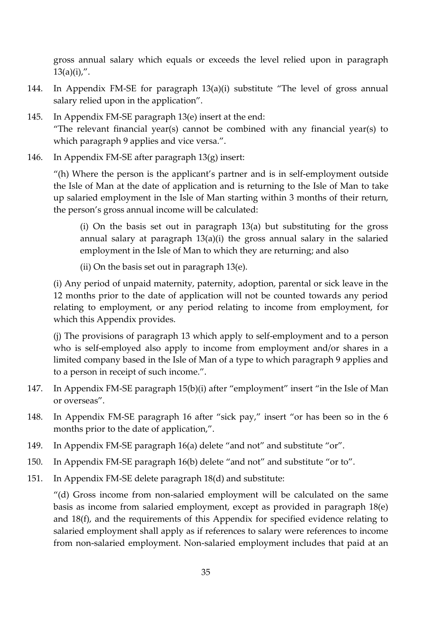gross annual salary which equals or exceeds the level relied upon in paragraph  $13(a)(i)$ ,".

- 144. In Appendix FM-SE for paragraph 13(a)(i) substitute "The level of gross annual salary relied upon in the application".
- 145. In Appendix FM-SE paragraph 13(e) insert at the end: "The relevant financial year(s) cannot be combined with any financial year(s) to which paragraph 9 applies and vice versa.".
- 146. In Appendix FM-SE after paragraph 13(g) insert:

"(h) Where the person is the applicant's partner and is in self-employment outside the Isle of Man at the date of application and is returning to the Isle of Man to take up salaried employment in the Isle of Man starting within 3 months of their return, the person's gross annual income will be calculated:

(i) On the basis set out in paragraph 13(a) but substituting for the gross annual salary at paragraph 13(a)(i) the gross annual salary in the salaried employment in the Isle of Man to which they are returning; and also

(ii) On the basis set out in paragraph 13(e).

(i) Any period of unpaid maternity, paternity, adoption, parental or sick leave in the 12 months prior to the date of application will not be counted towards any period relating to employment, or any period relating to income from employment, for which this Appendix provides.

(j) The provisions of paragraph 13 which apply to self-employment and to a person who is self-employed also apply to income from employment and/or shares in a limited company based in the Isle of Man of a type to which paragraph 9 applies and to a person in receipt of such income.".

- 147. In Appendix FM-SE paragraph 15(b)(i) after "employment" insert "in the Isle of Man or overseas".
- 148. In Appendix FM-SE paragraph 16 after "sick pay," insert "or has been so in the 6 months prior to the date of application,".
- 149. In Appendix FM-SE paragraph 16(a) delete "and not" and substitute "or".
- 150. In Appendix FM-SE paragraph 16(b) delete "and not" and substitute "or to".
- 151. In Appendix FM-SE delete paragraph 18(d) and substitute:

"(d) Gross income from non-salaried employment will be calculated on the same basis as income from salaried employment, except as provided in paragraph 18(e) and 18(f), and the requirements of this Appendix for specified evidence relating to salaried employment shall apply as if references to salary were references to income from non-salaried employment. Non-salaried employment includes that paid at an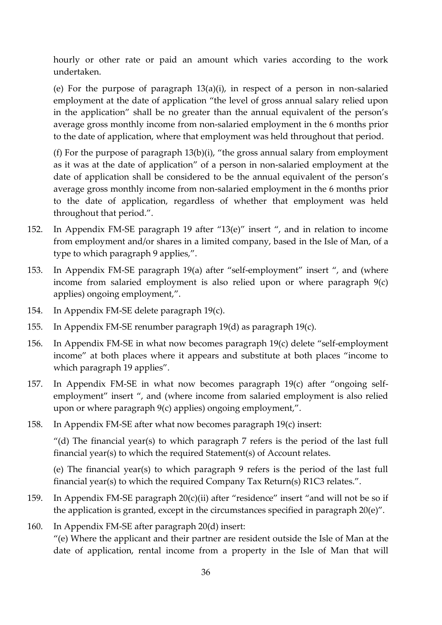hourly or other rate or paid an amount which varies according to the work undertaken.

(e) For the purpose of paragraph 13(a)(i), in respect of a person in non-salaried employment at the date of application "the level of gross annual salary relied upon in the application" shall be no greater than the annual equivalent of the person's average gross monthly income from non-salaried employment in the 6 months prior to the date of application, where that employment was held throughout that period.

(f) For the purpose of paragraph 13(b)(i), "the gross annual salary from employment as it was at the date of application" of a person in non-salaried employment at the date of application shall be considered to be the annual equivalent of the person's average gross monthly income from non-salaried employment in the 6 months prior to the date of application, regardless of whether that employment was held throughout that period.".

- 152. In Appendix FM-SE paragraph 19 after "13(e)" insert ", and in relation to income from employment and/or shares in a limited company, based in the Isle of Man, of a type to which paragraph 9 applies,".
- 153. In Appendix FM-SE paragraph 19(a) after "self-employment" insert ", and (where income from salaried employment is also relied upon or where paragraph 9(c) applies) ongoing employment,".
- 154. In Appendix FM-SE delete paragraph 19(c).
- 155. In Appendix FM-SE renumber paragraph 19(d) as paragraph 19(c).
- 156. In Appendix FM-SE in what now becomes paragraph 19(c) delete "self-employment income" at both places where it appears and substitute at both places "income to which paragraph 19 applies".
- 157. In Appendix FM-SE in what now becomes paragraph 19(c) after "ongoing selfemployment" insert ", and (where income from salaried employment is also relied upon or where paragraph 9(c) applies) ongoing employment,".
- 158. In Appendix FM-SE after what now becomes paragraph 19(c) insert:

"(d) The financial year(s) to which paragraph 7 refers is the period of the last full financial year(s) to which the required Statement(s) of Account relates.

(e) The financial year(s) to which paragraph 9 refers is the period of the last full financial year(s) to which the required Company Tax Return(s) R1C3 relates.".

- 159. In Appendix FM-SE paragraph 20(c)(ii) after "residence" insert "and will not be so if the application is granted, except in the circumstances specified in paragraph 20(e)".
- 160. In Appendix FM-SE after paragraph 20(d) insert:

"(e) Where the applicant and their partner are resident outside the Isle of Man at the date of application, rental income from a property in the Isle of Man that will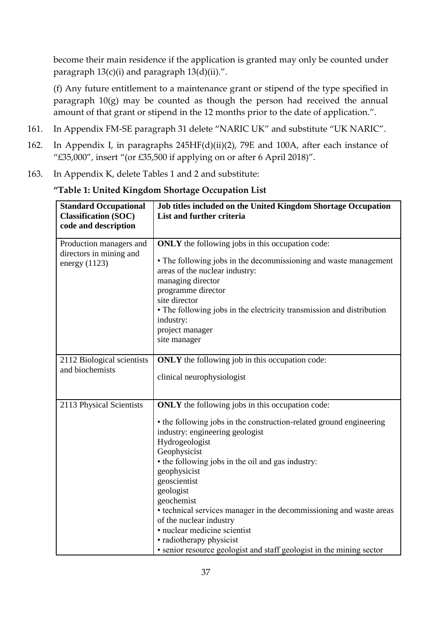become their main residence if the application is granted may only be counted under paragraph 13(c)(i) and paragraph 13(d)(ii).".

(f) Any future entitlement to a maintenance grant or stipend of the type specified in paragraph 10(g) may be counted as though the person had received the annual amount of that grant or stipend in the 12 months prior to the date of application.".

- 161. In Appendix FM-SE paragraph 31 delete "NARIC UK" and substitute "UK NARIC".
- 162. In Appendix I, in paragraphs 245HF(d)(ii)(2), 79E and 100A, after each instance of "£35,000", insert "(or £35,500 if applying on or after 6 April 2018)".
- 163. In Appendix K, delete Tables 1 and 2 and substitute:

| <b>Standard Occupational</b><br><b>Classification (SOC)</b><br>code and description | Job titles included on the United Kingdom Shortage Occupation<br>List and further criteria                                                                                                                                                                                                                                                                                                                                                                                                                                                                |
|-------------------------------------------------------------------------------------|-----------------------------------------------------------------------------------------------------------------------------------------------------------------------------------------------------------------------------------------------------------------------------------------------------------------------------------------------------------------------------------------------------------------------------------------------------------------------------------------------------------------------------------------------------------|
| Production managers and<br>directors in mining and<br>energy $(1123)$               | <b>ONLY</b> the following jobs in this occupation code:<br>• The following jobs in the decommissioning and waste management<br>areas of the nuclear industry:<br>managing director<br>programme director<br>site director<br>• The following jobs in the electricity transmission and distribution<br>industry:<br>project manager<br>site manager                                                                                                                                                                                                        |
| 2112 Biological scientists<br>and biochemists                                       | <b>ONLY</b> the following job in this occupation code:<br>clinical neurophysiologist                                                                                                                                                                                                                                                                                                                                                                                                                                                                      |
| 2113 Physical Scientists                                                            | <b>ONLY</b> the following jobs in this occupation code:<br>• the following jobs in the construction-related ground engineering<br>industry: engineering geologist<br>Hydrogeologist<br>Geophysicist<br>• the following jobs in the oil and gas industry:<br>geophysicist<br>geoscientist<br>geologist<br>geochemist<br>• technical services manager in the decommissioning and waste areas<br>of the nuclear industry<br>· nuclear medicine scientist<br>• radiotherapy physicist<br>• senior resource geologist and staff geologist in the mining sector |

**"Table 1: United Kingdom Shortage Occupation List**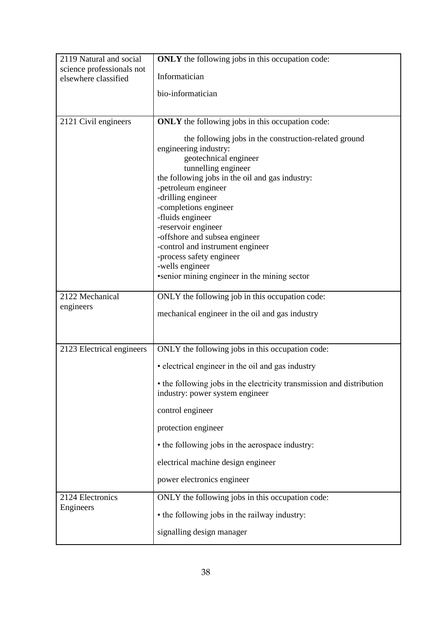| 2119 Natural and social                           | <b>ONLY</b> the following jobs in this occupation code:                                                                                                                                                                        |
|---------------------------------------------------|--------------------------------------------------------------------------------------------------------------------------------------------------------------------------------------------------------------------------------|
| science professionals not<br>elsewhere classified | Informatician                                                                                                                                                                                                                  |
|                                                   | bio-informatician                                                                                                                                                                                                              |
|                                                   |                                                                                                                                                                                                                                |
| 2121 Civil engineers                              | <b>ONLY</b> the following jobs in this occupation code:                                                                                                                                                                        |
|                                                   | the following jobs in the construction-related ground<br>engineering industry:<br>geotechnical engineer<br>tunnelling engineer<br>the following jobs in the oil and gas industry:<br>-petroleum engineer<br>-drilling engineer |
|                                                   | -completions engineer<br>-fluids engineer                                                                                                                                                                                      |
|                                                   | -reservoir engineer<br>-offshore and subsea engineer<br>-control and instrument engineer                                                                                                                                       |
|                                                   | -process safety engineer                                                                                                                                                                                                       |
|                                                   | -wells engineer<br>• senior mining engineer in the mining sector                                                                                                                                                               |
| 2122 Mechanical                                   | ONLY the following job in this occupation code:                                                                                                                                                                                |
| engineers                                         | mechanical engineer in the oil and gas industry                                                                                                                                                                                |
|                                                   |                                                                                                                                                                                                                                |
| 2123 Electrical engineers                         | ONLY the following jobs in this occupation code:                                                                                                                                                                               |
|                                                   | • electrical engineer in the oil and gas industry                                                                                                                                                                              |
|                                                   | • the following jobs in the electricity transmission and distribution<br>industry: power system engineer                                                                                                                       |
|                                                   | control engineer                                                                                                                                                                                                               |
|                                                   | protection engineer                                                                                                                                                                                                            |
|                                                   | • the following jobs in the aerospace industry:                                                                                                                                                                                |
|                                                   | electrical machine design engineer                                                                                                                                                                                             |
|                                                   | power electronics engineer                                                                                                                                                                                                     |
| 2124 Electronics                                  | ONLY the following jobs in this occupation code:                                                                                                                                                                               |
| Engineers                                         | • the following jobs in the railway industry:                                                                                                                                                                                  |
|                                                   | signalling design manager                                                                                                                                                                                                      |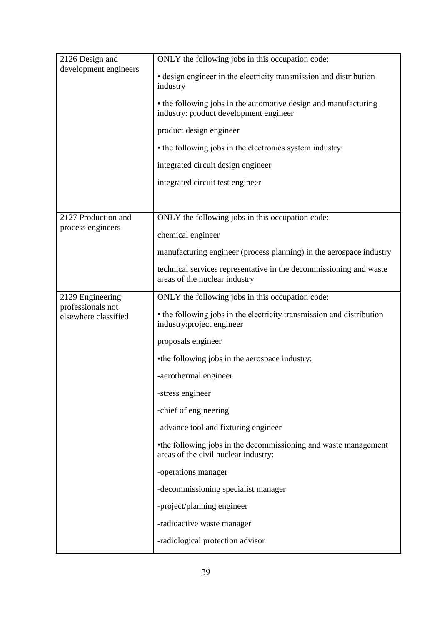| 2126 Design and<br>development engineers | ONLY the following jobs in this occupation code:<br>• design engineer in the electricity transmission and distribution<br>industry<br>• the following jobs in the automotive design and manufacturing<br>industry: product development engineer<br>product design engineer<br>• the following jobs in the electronics system industry:<br>integrated circuit design engineer<br>integrated circuit test engineer |
|------------------------------------------|------------------------------------------------------------------------------------------------------------------------------------------------------------------------------------------------------------------------------------------------------------------------------------------------------------------------------------------------------------------------------------------------------------------|
| 2127 Production and                      | ONLY the following jobs in this occupation code:                                                                                                                                                                                                                                                                                                                                                                 |
| process engineers                        | chemical engineer                                                                                                                                                                                                                                                                                                                                                                                                |
|                                          | manufacturing engineer (process planning) in the aerospace industry                                                                                                                                                                                                                                                                                                                                              |
|                                          | technical services representative in the decommissioning and waste<br>areas of the nuclear industry                                                                                                                                                                                                                                                                                                              |
| 2129 Engineering<br>professionals not    | ONLY the following jobs in this occupation code:                                                                                                                                                                                                                                                                                                                                                                 |
| elsewhere classified                     | • the following jobs in the electricity transmission and distribution<br>industry: project engineer                                                                                                                                                                                                                                                                                                              |
|                                          | proposals engineer                                                                                                                                                                                                                                                                                                                                                                                               |
|                                          | •the following jobs in the aerospace industry:                                                                                                                                                                                                                                                                                                                                                                   |
|                                          | -aerothermal engineer                                                                                                                                                                                                                                                                                                                                                                                            |
|                                          | -stress engineer                                                                                                                                                                                                                                                                                                                                                                                                 |
|                                          | -chief of engineering                                                                                                                                                                                                                                                                                                                                                                                            |
|                                          | -advance tool and fixturing engineer                                                                                                                                                                                                                                                                                                                                                                             |
|                                          | •the following jobs in the decommissioning and waste management<br>areas of the civil nuclear industry:                                                                                                                                                                                                                                                                                                          |
|                                          | -operations manager                                                                                                                                                                                                                                                                                                                                                                                              |
|                                          | -decommissioning specialist manager                                                                                                                                                                                                                                                                                                                                                                              |
|                                          | -project/planning engineer                                                                                                                                                                                                                                                                                                                                                                                       |
|                                          | -radioactive waste manager                                                                                                                                                                                                                                                                                                                                                                                       |
|                                          | -radiological protection advisor                                                                                                                                                                                                                                                                                                                                                                                 |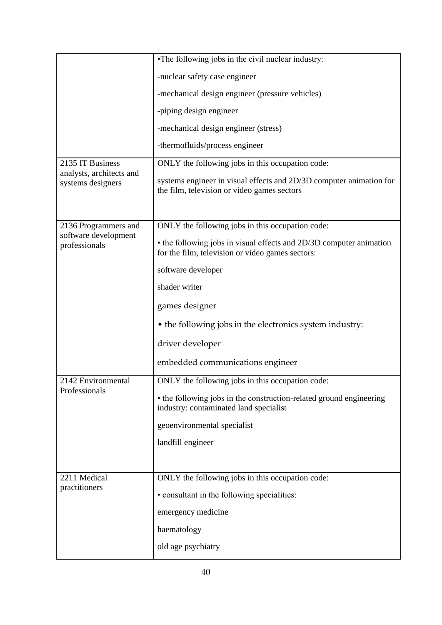|                                              | •The following jobs in the civil nuclear industry:                                                                      |
|----------------------------------------------|-------------------------------------------------------------------------------------------------------------------------|
|                                              | -nuclear safety case engineer                                                                                           |
|                                              | -mechanical design engineer (pressure vehicles)                                                                         |
|                                              | -piping design engineer                                                                                                 |
|                                              | -mechanical design engineer (stress)                                                                                    |
|                                              | -thermofluids/process engineer                                                                                          |
| 2135 IT Business<br>analysts, architects and | ONLY the following jobs in this occupation code:                                                                        |
| systems designers                            | systems engineer in visual effects and 2D/3D computer animation for<br>the film, television or video games sectors      |
|                                              |                                                                                                                         |
| 2136 Programmers and                         | ONLY the following jobs in this occupation code:                                                                        |
| software development<br>professionals        | • the following jobs in visual effects and 2D/3D computer animation<br>for the film, television or video games sectors: |
|                                              | software developer                                                                                                      |
|                                              | shader writer                                                                                                           |
|                                              | games designer                                                                                                          |
|                                              | • the following jobs in the electronics system industry:                                                                |
|                                              | driver developer                                                                                                        |
|                                              | embedded communications engineer                                                                                        |
| 2142 Environmental                           | ONLY the following jobs in this occupation code:                                                                        |
| Professionals                                | • the following jobs in the construction-related ground engineering<br>industry: contaminated land specialist           |
|                                              | geoenvironmental specialist                                                                                             |
|                                              | landfill engineer                                                                                                       |
|                                              |                                                                                                                         |
| 2211 Medical                                 | ONLY the following jobs in this occupation code:                                                                        |
| practitioners                                | • consultant in the following specialities:                                                                             |
|                                              | emergency medicine                                                                                                      |
|                                              | haematology                                                                                                             |
|                                              | old age psychiatry                                                                                                      |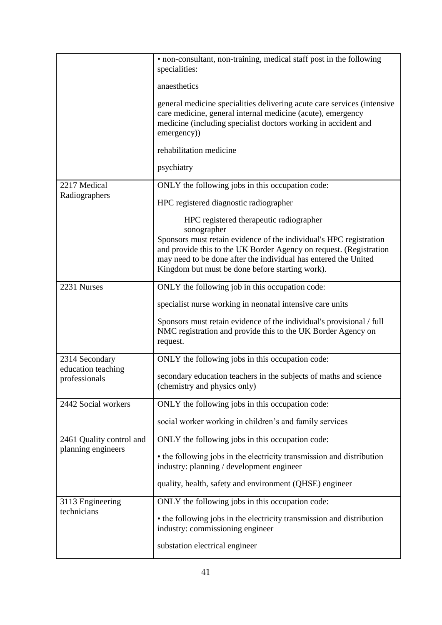|                                                | • non-consultant, non-training, medical staff post in the following<br>specialities:<br>anaesthetics                                                                                                                                                                          |
|------------------------------------------------|-------------------------------------------------------------------------------------------------------------------------------------------------------------------------------------------------------------------------------------------------------------------------------|
|                                                | general medicine specialities delivering acute care services (intensive<br>care medicine, general internal medicine (acute), emergency<br>medicine (including specialist doctors working in accident and<br>emergency))                                                       |
|                                                | rehabilitation medicine                                                                                                                                                                                                                                                       |
|                                                | psychiatry                                                                                                                                                                                                                                                                    |
| 2217 Medical                                   | ONLY the following jobs in this occupation code:                                                                                                                                                                                                                              |
| Radiographers                                  | HPC registered diagnostic radiographer                                                                                                                                                                                                                                        |
|                                                | HPC registered therapeutic radiographer                                                                                                                                                                                                                                       |
|                                                | sonographer<br>Sponsors must retain evidence of the individual's HPC registration<br>and provide this to the UK Border Agency on request. (Registration<br>may need to be done after the individual has entered the United<br>Kingdom but must be done before starting work). |
| 2231 Nurses                                    | ONLY the following job in this occupation code:                                                                                                                                                                                                                               |
|                                                | specialist nurse working in neonatal intensive care units                                                                                                                                                                                                                     |
|                                                | Sponsors must retain evidence of the individual's provisional / full<br>NMC registration and provide this to the UK Border Agency on<br>request.                                                                                                                              |
| 2314 Secondary                                 | ONLY the following jobs in this occupation code:                                                                                                                                                                                                                              |
| education teaching<br>professionals            | secondary education teachers in the subjects of maths and science<br>(chemistry and physics only)                                                                                                                                                                             |
| 2442 Social workers                            | ONLY the following jobs in this occupation code:                                                                                                                                                                                                                              |
|                                                | social worker working in children's and family services                                                                                                                                                                                                                       |
| 2461 Quality control and<br>planning engineers | ONLY the following jobs in this occupation code:                                                                                                                                                                                                                              |
|                                                | • the following jobs in the electricity transmission and distribution<br>industry: planning / development engineer                                                                                                                                                            |
|                                                | quality, health, safety and environment (QHSE) engineer                                                                                                                                                                                                                       |
| 3113 Engineering<br>technicians                | ONLY the following jobs in this occupation code:                                                                                                                                                                                                                              |
|                                                | • the following jobs in the electricity transmission and distribution<br>industry: commissioning engineer                                                                                                                                                                     |
|                                                | substation electrical engineer                                                                                                                                                                                                                                                |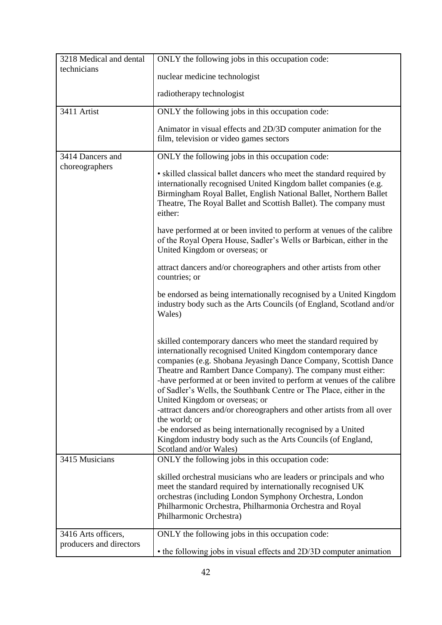| 3218 Medical and dental                        | ONLY the following jobs in this occupation code:                                                                                                                                                                                                                                                                                                                                                                                                                                                                                                                                                                |
|------------------------------------------------|-----------------------------------------------------------------------------------------------------------------------------------------------------------------------------------------------------------------------------------------------------------------------------------------------------------------------------------------------------------------------------------------------------------------------------------------------------------------------------------------------------------------------------------------------------------------------------------------------------------------|
| technicians                                    | nuclear medicine technologist                                                                                                                                                                                                                                                                                                                                                                                                                                                                                                                                                                                   |
|                                                | radiotherapy technologist                                                                                                                                                                                                                                                                                                                                                                                                                                                                                                                                                                                       |
| 3411 Artist                                    | ONLY the following jobs in this occupation code:                                                                                                                                                                                                                                                                                                                                                                                                                                                                                                                                                                |
|                                                | Animator in visual effects and 2D/3D computer animation for the<br>film, television or video games sectors                                                                                                                                                                                                                                                                                                                                                                                                                                                                                                      |
| 3414 Dancers and<br>choreographers             | ONLY the following jobs in this occupation code:                                                                                                                                                                                                                                                                                                                                                                                                                                                                                                                                                                |
|                                                | • skilled classical ballet dancers who meet the standard required by<br>internationally recognised United Kingdom ballet companies (e.g.<br>Birmingham Royal Ballet, English National Ballet, Northern Ballet<br>Theatre, The Royal Ballet and Scottish Ballet). The company must<br>either:                                                                                                                                                                                                                                                                                                                    |
|                                                | have performed at or been invited to perform at venues of the calibre<br>of the Royal Opera House, Sadler's Wells or Barbican, either in the<br>United Kingdom or overseas; or                                                                                                                                                                                                                                                                                                                                                                                                                                  |
|                                                | attract dancers and/or choreographers and other artists from other<br>countries; or                                                                                                                                                                                                                                                                                                                                                                                                                                                                                                                             |
|                                                | be endorsed as being internationally recognised by a United Kingdom<br>industry body such as the Arts Councils (of England, Scotland and/or<br>Wales)                                                                                                                                                                                                                                                                                                                                                                                                                                                           |
|                                                | skilled contemporary dancers who meet the standard required by<br>internationally recognised United Kingdom contemporary dance<br>companies (e.g. Shobana Jeyasingh Dance Company, Scottish Dance<br>Theatre and Rambert Dance Company). The company must either:<br>-have performed at or been invited to perform at venues of the calibre<br>of Sadler's Wells, the Southbank Centre or The Place, either in the<br>United Kingdom or overseas; or<br>-attract dancers and/or choreographers and other artists from all over<br>the world; or<br>-be endorsed as being internationally recognised by a United |
|                                                | Kingdom industry body such as the Arts Councils (of England,<br>Scotland and/or Wales)                                                                                                                                                                                                                                                                                                                                                                                                                                                                                                                          |
| 3415 Musicians                                 | ONLY the following jobs in this occupation code:                                                                                                                                                                                                                                                                                                                                                                                                                                                                                                                                                                |
|                                                | skilled orchestral musicians who are leaders or principals and who<br>meet the standard required by internationally recognised UK<br>orchestras (including London Symphony Orchestra, London<br>Philharmonic Orchestra, Philharmonia Orchestra and Royal<br>Philharmonic Orchestra)                                                                                                                                                                                                                                                                                                                             |
| 3416 Arts officers,<br>producers and directors | ONLY the following jobs in this occupation code:<br>• the following jobs in visual effects and 2D/3D computer animation                                                                                                                                                                                                                                                                                                                                                                                                                                                                                         |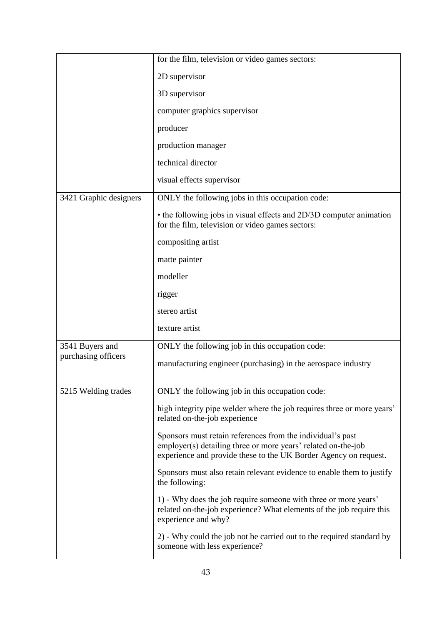|                        | for the film, television or video games sectors:                                                                                                                                                |
|------------------------|-------------------------------------------------------------------------------------------------------------------------------------------------------------------------------------------------|
|                        | 2D supervisor                                                                                                                                                                                   |
|                        | 3D supervisor                                                                                                                                                                                   |
|                        | computer graphics supervisor                                                                                                                                                                    |
|                        | producer                                                                                                                                                                                        |
|                        | production manager                                                                                                                                                                              |
|                        | technical director                                                                                                                                                                              |
|                        | visual effects supervisor                                                                                                                                                                       |
| 3421 Graphic designers | ONLY the following jobs in this occupation code:                                                                                                                                                |
|                        | • the following jobs in visual effects and 2D/3D computer animation<br>for the film, television or video games sectors:                                                                         |
|                        | compositing artist                                                                                                                                                                              |
|                        | matte painter                                                                                                                                                                                   |
|                        | modeller                                                                                                                                                                                        |
|                        | rigger                                                                                                                                                                                          |
|                        | stereo artist                                                                                                                                                                                   |
|                        | texture artist                                                                                                                                                                                  |
| 3541 Buyers and        | ONLY the following job in this occupation code:                                                                                                                                                 |
| purchasing officers    | manufacturing engineer (purchasing) in the aerospace industry                                                                                                                                   |
|                        |                                                                                                                                                                                                 |
| 5215 Welding trades    | ONLY the following job in this occupation code:                                                                                                                                                 |
|                        | high integrity pipe welder where the job requires three or more years'<br>related on-the-job experience                                                                                         |
|                        | Sponsors must retain references from the individual's past<br>employer(s) detailing three or more years' related on-the-job<br>experience and provide these to the UK Border Agency on request. |
|                        | Sponsors must also retain relevant evidence to enable them to justify<br>the following:                                                                                                         |
|                        | 1) - Why does the job require someone with three or more years'<br>related on-the-job experience? What elements of the job require this<br>experience and why?                                  |
|                        | 2) - Why could the job not be carried out to the required standard by<br>someone with less experience?                                                                                          |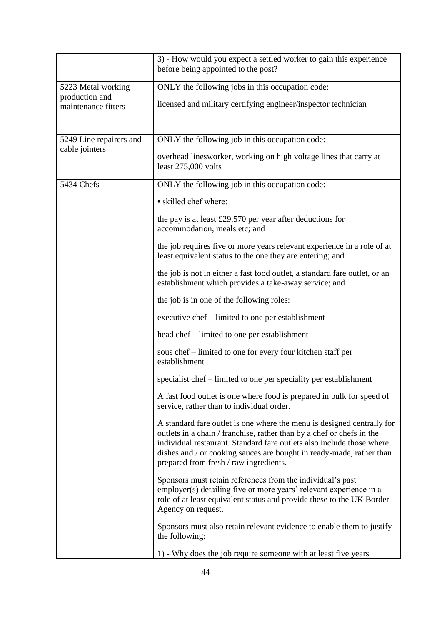|                                       | 3) - How would you expect a settled worker to gain this experience<br>before being appointed to the post?                                                                                                                                                                                                                                  |
|---------------------------------------|--------------------------------------------------------------------------------------------------------------------------------------------------------------------------------------------------------------------------------------------------------------------------------------------------------------------------------------------|
| 5223 Metal working                    | ONLY the following jobs in this occupation code:                                                                                                                                                                                                                                                                                           |
| production and<br>maintenance fitters | licensed and military certifying engineer/inspector technician                                                                                                                                                                                                                                                                             |
| 5249 Line repairers and               | ONLY the following job in this occupation code:                                                                                                                                                                                                                                                                                            |
| cable jointers                        | overhead linesworker, working on high voltage lines that carry at<br>least 275,000 volts                                                                                                                                                                                                                                                   |
| 5434 Chefs                            | ONLY the following job in this occupation code:                                                                                                                                                                                                                                                                                            |
|                                       | · skilled chef where:                                                                                                                                                                                                                                                                                                                      |
|                                       | the pay is at least £29,570 per year after deductions for<br>accommodation, meals etc; and                                                                                                                                                                                                                                                 |
|                                       | the job requires five or more years relevant experience in a role of at<br>least equivalent status to the one they are entering; and                                                                                                                                                                                                       |
|                                       | the job is not in either a fast food outlet, a standard fare outlet, or an<br>establishment which provides a take-away service; and                                                                                                                                                                                                        |
|                                       | the job is in one of the following roles:                                                                                                                                                                                                                                                                                                  |
|                                       | executive chef – limited to one per establishment                                                                                                                                                                                                                                                                                          |
|                                       | head chef – limited to one per establishment                                                                                                                                                                                                                                                                                               |
|                                       | sous chef – limited to one for every four kitchen staff per<br>establishment                                                                                                                                                                                                                                                               |
|                                       | specialist chef – limited to one per speciality per establishment                                                                                                                                                                                                                                                                          |
|                                       | A fast food outlet is one where food is prepared in bulk for speed of<br>service, rather than to individual order.                                                                                                                                                                                                                         |
|                                       | A standard fare outlet is one where the menu is designed centrally for<br>outlets in a chain / franchise, rather than by a chef or chefs in the<br>individual restaurant. Standard fare outlets also include those where<br>dishes and / or cooking sauces are bought in ready-made, rather than<br>prepared from fresh / raw ingredients. |
|                                       | Sponsors must retain references from the individual's past<br>employer(s) detailing five or more years' relevant experience in a<br>role of at least equivalent status and provide these to the UK Border<br>Agency on request.                                                                                                            |
|                                       | Sponsors must also retain relevant evidence to enable them to justify<br>the following:                                                                                                                                                                                                                                                    |
|                                       | 1) - Why does the job require someone with at least five years'                                                                                                                                                                                                                                                                            |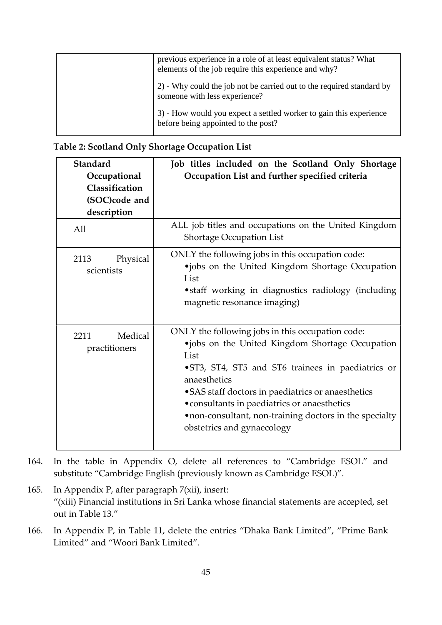| previous experience in a role of at least equivalent status? What<br>elements of the job require this experience and why? |
|---------------------------------------------------------------------------------------------------------------------------|
| 2) - Why could the job not be carried out to the required standard by<br>someone with less experience?                    |
| 3) - How would you expect a settled worker to gain this experience<br>before being appointed to the post?                 |

| Standard<br>Occupational<br>Classification<br>(SOC)code and<br>description<br>All | Job titles included on the Scotland Only Shortage<br>Occupation List and further specified criteria<br>ALL job titles and occupations on the United Kingdom                                                                                                                                                                                                                    |
|-----------------------------------------------------------------------------------|--------------------------------------------------------------------------------------------------------------------------------------------------------------------------------------------------------------------------------------------------------------------------------------------------------------------------------------------------------------------------------|
| 2113<br>Physical<br>scientists                                                    | <b>Shortage Occupation List</b><br>ONLY the following jobs in this occupation code:<br>·jobs on the United Kingdom Shortage Occupation<br>List<br>• staff working in diagnostics radiology (including<br>magnetic resonance imaging)                                                                                                                                           |
| Medical<br>2211<br>practitioners                                                  | ONLY the following jobs in this occupation code:<br>•jobs on the United Kingdom Shortage Occupation<br>List<br>•ST3, ST4, ST5 and ST6 trainees in paediatrics or<br>anaesthetics<br>• SAS staff doctors in paediatrics or anaesthetics<br>• consultants in paediatrics or anaesthetics<br>.non-consultant, non-training doctors in the specialty<br>obstetrics and gynaecology |

- 164. In the table in Appendix O, delete all references to "Cambridge ESOL" and substitute "Cambridge English (previously known as Cambridge ESOL)".
- 165. In Appendix P, after paragraph 7(xii), insert: "(xiii) Financial institutions in Sri Lanka whose financial statements are accepted, set out in Table 13."
- 166. In Appendix P, in Table 11, delete the entries "Dhaka Bank Limited", "Prime Bank Limited" and "Woori Bank Limited".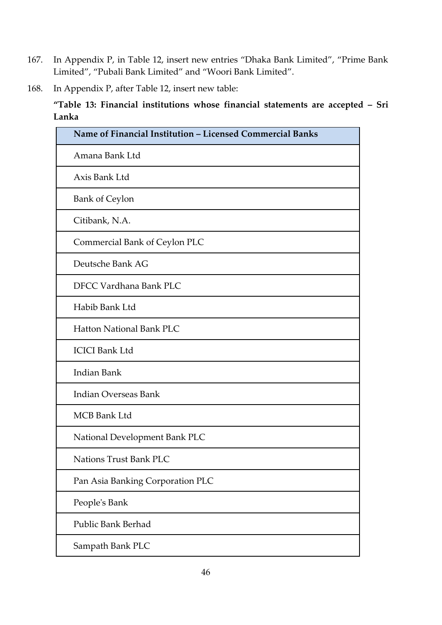- 167. In Appendix P, in Table 12, insert new entries "Dhaka Bank Limited", "Prime Bank Limited", "Pubali Bank Limited" and "Woori Bank Limited".
- 168. In Appendix P, after Table 12, insert new table:

**"Table 13: Financial institutions whose financial statements are accepted – Sri Lanka**

| Name of Financial Institution - Licensed Commercial Banks |
|-----------------------------------------------------------|
|                                                           |
| Amana Bank Ltd                                            |
| Axis Bank Ltd                                             |
| <b>Bank of Ceylon</b>                                     |
| Citibank, N.A.                                            |
| Commercial Bank of Ceylon PLC                             |
| Deutsche Bank AG                                          |
| DFCC Vardhana Bank PLC                                    |
| Habib Bank Ltd                                            |
| <b>Hatton National Bank PLC</b>                           |
| <b>ICICI Bank Ltd</b>                                     |
| Indian Bank                                               |
| <b>Indian Overseas Bank</b>                               |
| <b>MCB Bank Ltd</b>                                       |
| National Development Bank PLC                             |
| <b>Nations Trust Bank PLC</b>                             |
| Pan Asia Banking Corporation PLC                          |
| People's Bank                                             |
| <b>Public Bank Berhad</b>                                 |
| Sampath Bank PLC                                          |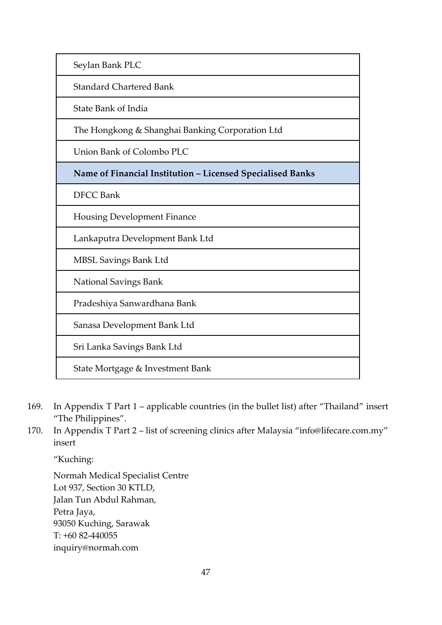Seylan Bank PLC

Standard Chartered Bank

State Bank of India

The Hongkong & Shanghai Banking Corporation Ltd

Union Bank of Colombo PLC

**Name of Financial Institution – Licensed Specialised Banks** 

DFCC Bank

Housing Development Finance

Lankaputra Development Bank Ltd

MBSL Savings Bank Ltd

National Savings Bank

Pradeshiya Sanwardhana Bank

Sanasa Development Bank Ltd

Sri Lanka Savings Bank Ltd

State Mortgage & Investment Bank

- 169. In Appendix T Part 1 applicable countries (in the bullet list) after "Thailand" insert "The Philippines".
- 170. In Appendix T Part 2 list of screening clinics after Malaysia "info@lifecare.com.my" insert

"Kuching:

Normah Medical Specialist Centre Lot 937, Section 30 KTLD, Jalan Tun Abdul Rahman, Petra Jaya, 93050 Kuching, Sarawak T: +60 82-440055 inquiry@normah.com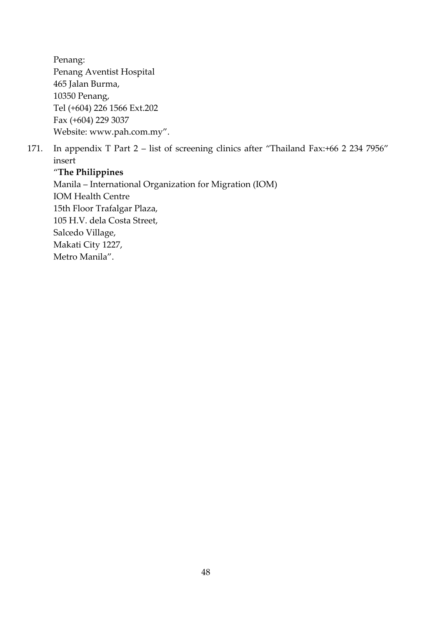Penang: Penang Aventist Hospital 465 Jalan Burma, 10350 Penang, Tel (+604) 226 1566 Ext.202 Fax (+604) 229 3037 Website: www.pah.com.my".

171. In appendix T Part 2 – list of screening clinics after "Thailand Fax:+66 2 234 7956" insert

"**The Philippines**  Manila – International Organization for Migration (IOM) IOM Health Centre 15th Floor Trafalgar Plaza, 105 H.V. dela Costa Street, Salcedo Village, Makati City 1227, Metro Manila".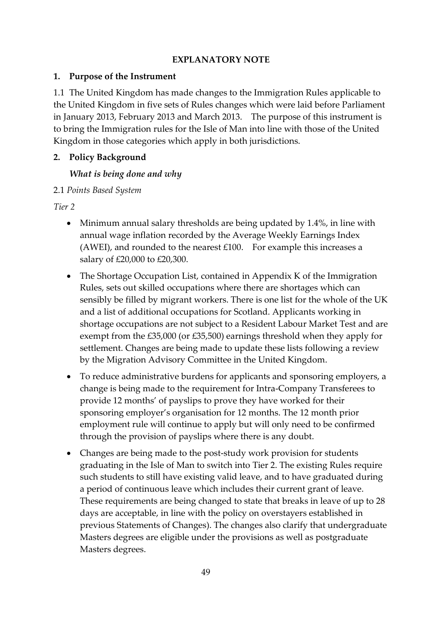#### **EXPLANATORY NOTE**

#### **1. Purpose of the Instrument**

1.1 The United Kingdom has made changes to the Immigration Rules applicable to the United Kingdom in five sets of Rules changes which were laid before Parliament in January 2013, February 2013 and March 2013. The purpose of this instrument is to bring the Immigration rules for the Isle of Man into line with those of the United Kingdom in those categories which apply in both jurisdictions.

## **2. Policy Background**

#### *What is being done and why*

## 2.1 *Points Based System*

*Tier 2*

- Minimum annual salary thresholds are being updated by 1.4%, in line with annual wage inflation recorded by the Average Weekly Earnings Index (AWEI), and rounded to the nearest  $£100$ . For example this increases a salary of £20,000 to £20,300.
- The Shortage Occupation List, contained in Appendix K of the Immigration Rules, sets out skilled occupations where there are shortages which can sensibly be filled by migrant workers. There is one list for the whole of the UK and a list of additional occupations for Scotland. Applicants working in shortage occupations are not subject to a Resident Labour Market Test and are exempt from the £35,000 (or £35,500) earnings threshold when they apply for settlement. Changes are being made to update these lists following a review by the Migration Advisory Committee in the United Kingdom.
- To reduce administrative burdens for applicants and sponsoring employers, a change is being made to the requirement for Intra-Company Transferees to provide 12 months' of payslips to prove they have worked for their sponsoring employer's organisation for 12 months. The 12 month prior employment rule will continue to apply but will only need to be confirmed through the provision of payslips where there is any doubt.
- Changes are being made to the post-study work provision for students graduating in the Isle of Man to switch into Tier 2. The existing Rules require such students to still have existing valid leave, and to have graduated during a period of continuous leave which includes their current grant of leave. These requirements are being changed to state that breaks in leave of up to 28 days are acceptable, in line with the policy on overstayers established in previous Statements of Changes). The changes also clarify that undergraduate Masters degrees are eligible under the provisions as well as postgraduate Masters degrees.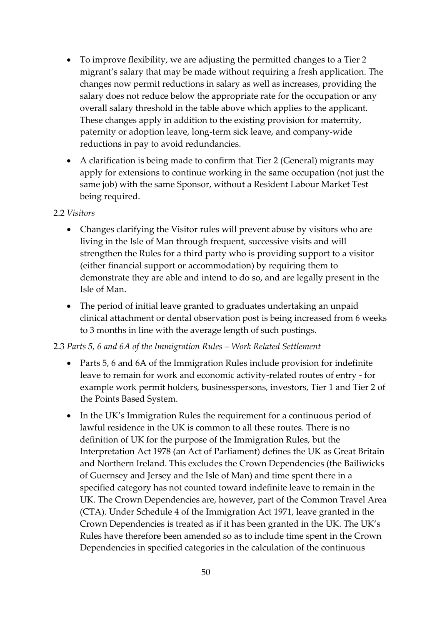- To improve flexibility, we are adjusting the permitted changes to a Tier 2 migrant's salary that may be made without requiring a fresh application. The changes now permit reductions in salary as well as increases, providing the salary does not reduce below the appropriate rate for the occupation or any overall salary threshold in the table above which applies to the applicant. These changes apply in addition to the existing provision for maternity, paternity or adoption leave, long-term sick leave, and company-wide reductions in pay to avoid redundancies.
- A clarification is being made to confirm that Tier 2 (General) migrants may apply for extensions to continue working in the same occupation (not just the same job) with the same Sponsor, without a Resident Labour Market Test being required.

#### 2.2 *Visitors*

- Changes clarifying the Visitor rules will prevent abuse by visitors who are living in the Isle of Man through frequent, successive visits and will strengthen the Rules for a third party who is providing support to a visitor (either financial support or accommodation) by requiring them to demonstrate they are able and intend to do so, and are legally present in the Isle of Man.
- The period of initial leave granted to graduates undertaking an unpaid clinical attachment or dental observation post is being increased from 6 weeks to 3 months in line with the average length of such postings.

## 2.3 *Parts 5, 6 and 6A of the Immigration Rules – Work Related Settlement*

- Parts 5, 6 and 6A of the Immigration Rules include provision for indefinite leave to remain for work and economic activity-related routes of entry - for example work permit holders, businesspersons, investors, Tier 1 and Tier 2 of the Points Based System.
- In the UK's Immigration Rules the requirement for a continuous period of lawful residence in the UK is common to all these routes. There is no definition of UK for the purpose of the Immigration Rules, but the Interpretation Act 1978 (an Act of Parliament) defines the UK as Great Britain and Northern Ireland. This excludes the Crown Dependencies (the Bailiwicks of Guernsey and Jersey and the Isle of Man) and time spent there in a specified category has not counted toward indefinite leave to remain in the UK. The Crown Dependencies are, however, part of the Common Travel Area (CTA). Under Schedule 4 of the Immigration Act 1971, leave granted in the Crown Dependencies is treated as if it has been granted in the UK. The UK's Rules have therefore been amended so as to include time spent in the Crown Dependencies in specified categories in the calculation of the continuous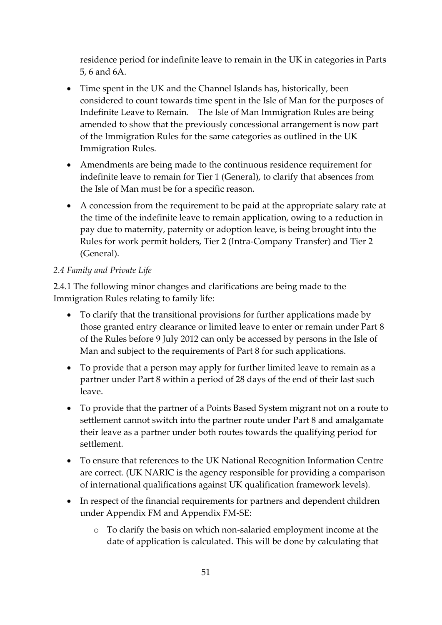residence period for indefinite leave to remain in the UK in categories in Parts 5, 6 and 6A.

- Time spent in the UK and the Channel Islands has, historically, been considered to count towards time spent in the Isle of Man for the purposes of Indefinite Leave to Remain. The Isle of Man Immigration Rules are being amended to show that the previously concessional arrangement is now part of the Immigration Rules for the same categories as outlined in the UK Immigration Rules.
- Amendments are being made to the continuous residence requirement for indefinite leave to remain for Tier 1 (General), to clarify that absences from the Isle of Man must be for a specific reason.
- A concession from the requirement to be paid at the appropriate salary rate at the time of the indefinite leave to remain application, owing to a reduction in pay due to maternity, paternity or adoption leave, is being brought into the Rules for work permit holders, Tier 2 (Intra-Company Transfer) and Tier 2 (General).

## *2.4 Family and Private Life*

2.4.1 The following minor changes and clarifications are being made to the Immigration Rules relating to family life:

- To clarify that the transitional provisions for further applications made by those granted entry clearance or limited leave to enter or remain under Part 8 of the Rules before 9 July 2012 can only be accessed by persons in the Isle of Man and subject to the requirements of Part 8 for such applications.
- To provide that a person may apply for further limited leave to remain as a partner under Part 8 within a period of 28 days of the end of their last such leave.
- To provide that the partner of a Points Based System migrant not on a route to settlement cannot switch into the partner route under Part 8 and amalgamate their leave as a partner under both routes towards the qualifying period for settlement.
- To ensure that references to the UK National Recognition Information Centre are correct. (UK NARIC is the agency responsible for providing a comparison of international qualifications against UK qualification framework levels).
- In respect of the financial requirements for partners and dependent children under Appendix FM and Appendix FM-SE:
	- o To clarify the basis on which non-salaried employment income at the date of application is calculated. This will be done by calculating that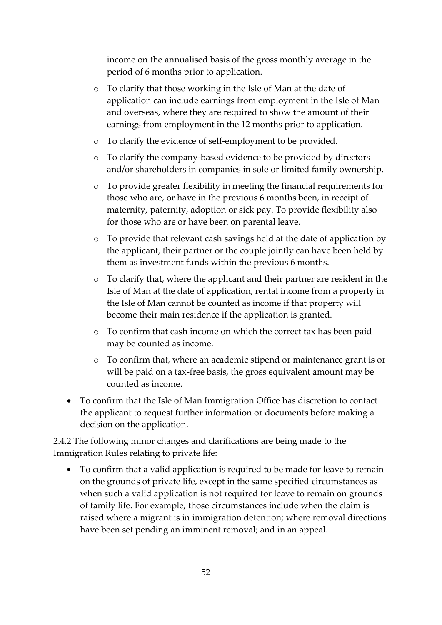income on the annualised basis of the gross monthly average in the period of 6 months prior to application.

- o To clarify that those working in the Isle of Man at the date of application can include earnings from employment in the Isle of Man and overseas, where they are required to show the amount of their earnings from employment in the 12 months prior to application.
- o To clarify the evidence of self-employment to be provided.
- o To clarify the company-based evidence to be provided by directors and/or shareholders in companies in sole or limited family ownership.
- o To provide greater flexibility in meeting the financial requirements for those who are, or have in the previous 6 months been, in receipt of maternity, paternity, adoption or sick pay. To provide flexibility also for those who are or have been on parental leave.
- o To provide that relevant cash savings held at the date of application by the applicant, their partner or the couple jointly can have been held by them as investment funds within the previous 6 months.
- o To clarify that, where the applicant and their partner are resident in the Isle of Man at the date of application, rental income from a property in the Isle of Man cannot be counted as income if that property will become their main residence if the application is granted.
- o To confirm that cash income on which the correct tax has been paid may be counted as income.
- o To confirm that, where an academic stipend or maintenance grant is or will be paid on a tax-free basis, the gross equivalent amount may be counted as income.
- To confirm that the Isle of Man Immigration Office has discretion to contact the applicant to request further information or documents before making a decision on the application.

2.4.2 The following minor changes and clarifications are being made to the Immigration Rules relating to private life:

 To confirm that a valid application is required to be made for leave to remain on the grounds of private life, except in the same specified circumstances as when such a valid application is not required for leave to remain on grounds of family life. For example, those circumstances include when the claim is raised where a migrant is in immigration detention; where removal directions have been set pending an imminent removal; and in an appeal.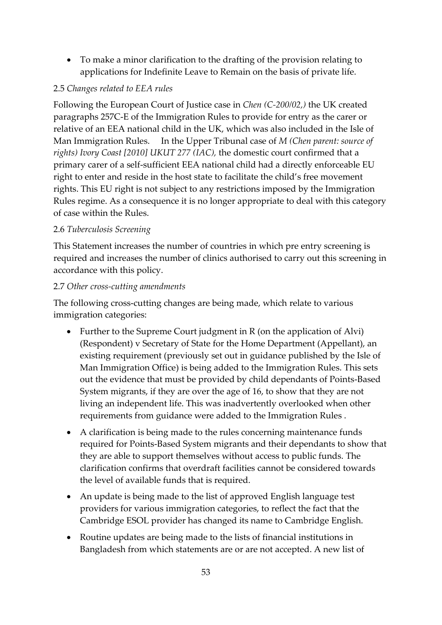To make a minor clarification to the drafting of the provision relating to applications for Indefinite Leave to Remain on the basis of private life.

## 2.5 *Changes related to EEA rules*

Following the European Court of Justice case in *Chen (C-200/02,)* the UK created paragraphs 257C-E of the Immigration Rules to provide for entry as the carer or relative of an EEA national child in the UK, which was also included in the Isle of Man Immigration Rules. In the Upper Tribunal case of *M (Chen parent: source of rights) Ivory Coast [2010] UKUT 277 (IAC),* the domestic court confirmed that a primary carer of a self-sufficient EEA national child had a directly enforceable EU right to enter and reside in the host state to facilitate the child's free movement rights. This EU right is not subject to any restrictions imposed by the Immigration Rules regime. As a consequence it is no longer appropriate to deal with this category of case within the Rules.

## 2.6 *Tuberculosis Screening*

This Statement increases the number of countries in which pre entry screening is required and increases the number of clinics authorised to carry out this screening in accordance with this policy.

## 2.7 *Other cross-cutting amendments*

The following cross-cutting changes are being made, which relate to various immigration categories:

- Further to the Supreme Court judgment in  $R$  (on the application of Alvi) (Respondent) v Secretary of State for the Home Department (Appellant), an existing requirement (previously set out in guidance published by the Isle of Man Immigration Office) is being added to the Immigration Rules. This sets out the evidence that must be provided by child dependants of Points-Based System migrants, if they are over the age of 16, to show that they are not living an independent life. This was inadvertently overlooked when other requirements from guidance were added to the Immigration Rules .
- A clarification is being made to the rules concerning maintenance funds required for Points-Based System migrants and their dependants to show that they are able to support themselves without access to public funds. The clarification confirms that overdraft facilities cannot be considered towards the level of available funds that is required.
- An update is being made to the list of approved English language test providers for various immigration categories, to reflect the fact that the Cambridge ESOL provider has changed its name to Cambridge English.
- Routine updates are being made to the lists of financial institutions in Bangladesh from which statements are or are not accepted. A new list of